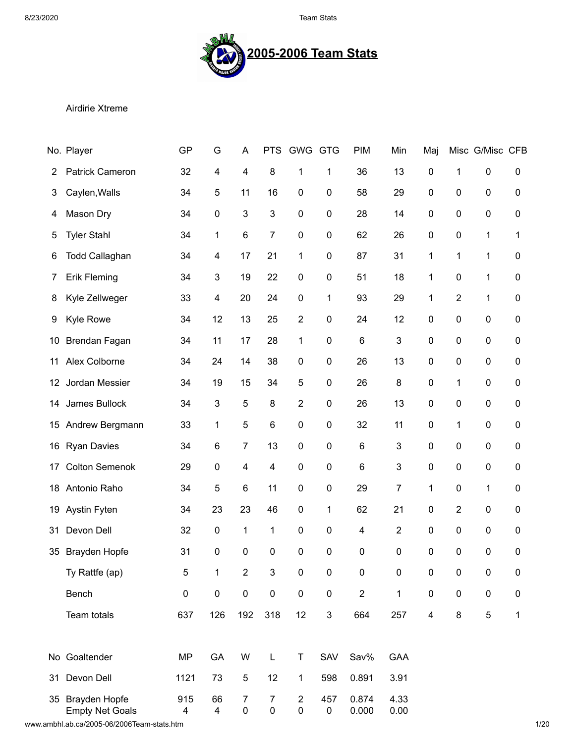8/23/2020 Team Stats



## Airdirie Xtreme

|    | No. Player                                     | GP                             | G         | A              | <b>PTS</b>                  | <b>GWG</b>                  | <b>GTG</b>       | <b>PIM</b>     | Min              | Maj                      |                  | Misc G/Misc CFB |              |
|----|------------------------------------------------|--------------------------------|-----------|----------------|-----------------------------|-----------------------------|------------------|----------------|------------------|--------------------------|------------------|-----------------|--------------|
| 2  | Patrick Cameron                                | 32                             | 4         | 4              | 8                           | 1                           | 1                | 36             | 13               | $\pmb{0}$                | 1                | $\pmb{0}$       | 0            |
| 3  | Caylen, Walls                                  | 34                             | 5         | 11             | 16                          | 0                           | 0                | 58             | 29               | $\boldsymbol{0}$         | 0                | 0               | 0            |
| 4  | Mason Dry                                      | 34                             | 0         | 3              | 3                           | 0                           | 0                | 28             | 14               | $\boldsymbol{0}$         | $\boldsymbol{0}$ | $\pmb{0}$       | 0            |
| 5  | <b>Tyler Stahl</b>                             | 34                             | 1         | $\,6$          | 7                           | $\mathbf 0$                 | 0                | 62             | 26               | $\pmb{0}$                | $\pmb{0}$        | 1               | 1            |
| 6  | <b>Todd Callaghan</b>                          | 34                             | 4         | 17             | 21                          | 1                           | 0                | 87             | 31               | 1                        | 1                | 1               | 0            |
| 7  | <b>Erik Fleming</b>                            | 34                             | 3         | 19             | 22                          | 0                           | 0                | 51             | 18               | 1                        | $\pmb{0}$        | 1               | 0            |
| 8  | Kyle Zellweger                                 | 33                             | 4         | 20             | 24                          | 0                           | 1                | 93             | 29               | 1                        | 2                | 1               | 0            |
| 9  | <b>Kyle Rowe</b>                               | 34                             | 12        | 13             | 25                          | $\overline{2}$              | 0                | 24             | 12               | $\mathbf 0$              | $\boldsymbol{0}$ | 0               | 0            |
| 10 | Brendan Fagan                                  | 34                             | 11        | 17             | 28                          | 1                           | 0                | 6              | 3                | $\pmb{0}$                | $\boldsymbol{0}$ | $\pmb{0}$       | 0            |
| 11 | Alex Colborne                                  | 34                             | 24        | 14             | 38                          | 0                           | 0                | 26             | 13               | $\pmb{0}$                | $\boldsymbol{0}$ | 0               | 0            |
| 12 | Jordan Messier                                 | 34                             | 19        | 15             | 34                          | 5                           | 0                | 26             | 8                | $\pmb{0}$                | 1                | 0               | 0            |
| 14 | James Bullock                                  | 34                             | 3         | 5              | 8                           | $\overline{2}$              | 0                | 26             | 13               | $\pmb{0}$                | $\pmb{0}$        | 0               | 0            |
| 15 | Andrew Bergmann                                | 33                             | 1         | 5              | 6                           | 0                           | 0                | 32             | 11               | $\pmb{0}$                | 1                | $\pmb{0}$       | 0            |
| 16 | <b>Ryan Davies</b>                             | 34                             | 6         | 7              | 13                          | 0                           | 0                | 6              | 3                | $\pmb{0}$                | $\boldsymbol{0}$ | 0               | 0            |
| 17 | <b>Colton Semenok</b>                          | 29                             | 0         | 4              | 4                           | 0                           | 0                | 6              | 3                | $\mathbf 0$              | $\pmb{0}$        | 0               | 0            |
| 18 | Antonio Raho                                   | 34                             | 5         | $\,6$          | 11                          | 0                           | 0                | 29             | $\overline{7}$   | 1                        | $\pmb{0}$        | 1               | 0            |
| 19 | Aystin Fyten                                   | 34                             | 23        | 23             | 46                          | $\pmb{0}$                   | 1                | 62             | 21               | $\pmb{0}$                | $\overline{2}$   | $\pmb{0}$       | 0            |
| 31 | Devon Dell                                     | 32                             | 0         | 1              | 1                           | 0                           | 0                | 4              | $\overline{2}$   | $\mathbf 0$              | $\boldsymbol{0}$ | 0               | 0            |
| 35 | Brayden Hopfe                                  | 31                             | 0         | 0              | 0                           | 0                           | 0                | 0              | 0                | $\pmb{0}$                | $\boldsymbol{0}$ | 0               | 0            |
|    | Ty Rattfe (ap)                                 | 5                              | 1         | $\overline{2}$ | 3                           | $\pmb{0}$                   | $\boldsymbol{0}$ | $\mathbf 0$    | $\boldsymbol{0}$ | $\pmb{0}$                | $\pmb{0}$        | $\pmb{0}$       | 0            |
|    | Bench                                          | $\pmb{0}$                      | $\pmb{0}$ | $\pmb{0}$      | $\pmb{0}$                   | $\pmb{0}$                   | $\pmb{0}$        | $\overline{2}$ | 1                | $\pmb{0}$                | $\pmb{0}$        | $\pmb{0}$       | $\pmb{0}$    |
|    | Team totals                                    | 637                            | 126       | 192            | 318                         | 12                          | 3                | 664            | 257              | $\overline{\mathcal{A}}$ | 8                | $\mathbf 5$     | $\mathbf{1}$ |
|    | No Goaltender                                  | <b>MP</b>                      | GA        | W              | L                           | T                           | SAV              | Sav%           | <b>GAA</b>       |                          |                  |                 |              |
| 31 | Devon Dell                                     | 1121                           | 73        | 5              | 12                          | 1                           | 598              | 0.891          | 3.91             |                          |                  |                 |              |
| 35 | <b>Brayden Hopfe</b><br><b>Empty Net Goals</b> | 915<br>$\overline{\mathbf{4}}$ | 66<br>4   | 7<br>$\pmb{0}$ | $\overline{7}$<br>$\pmb{0}$ | $\overline{c}$<br>$\pmb{0}$ | 457<br>$\pmb{0}$ | 0.874<br>0.000 | 4.33<br>0.00     |                          |                  |                 |              |

www.ambhl.ab.ca/2005-06/2006Team-stats.htm 1/20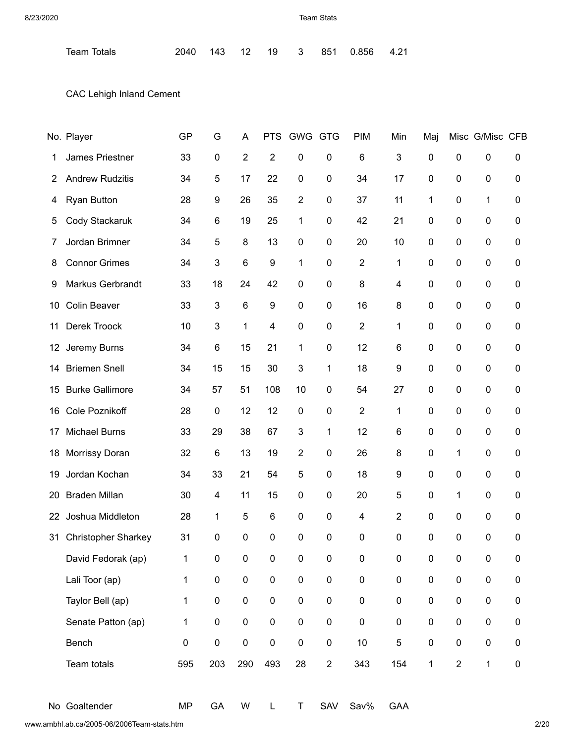Team Totals 2040 143 12 19 3 851 0.856 4.21

CAC Lehigh Inland Cement

|    | No. Player                 | <b>GP</b>   | G                | A              | <b>PTS</b>     | <b>GWG</b>     | <b>GTG</b>     | <b>PIM</b>     | Min            | Maj          |                  | Misc G/Misc CFB  |           |
|----|----------------------------|-------------|------------------|----------------|----------------|----------------|----------------|----------------|----------------|--------------|------------------|------------------|-----------|
| 1  | James Priestner            | 33          | $\pmb{0}$        | $\overline{2}$ | $\overline{2}$ | 0              | 0              | $\,6$          | 3              | $\mathbf 0$  | $\boldsymbol{0}$ | $\pmb{0}$        | 0         |
| 2  | <b>Andrew Rudzitis</b>     | 34          | 5                | 17             | 22             | $\mathbf 0$    | 0              | 34             | 17             | 0            | 0                | $\pmb{0}$        | 0         |
| 4  | <b>Ryan Button</b>         | 28          | 9                | 26             | 35             | $\overline{2}$ | 0              | 37             | 11             | 1            | $\mathbf 0$      | $\mathbf{1}$     | 0         |
| 5  | Cody Stackaruk             | 34          | 6                | 19             | 25             | 1              | 0              | 42             | 21             | 0            | 0                | $\pmb{0}$        | 0         |
| 7  | Jordan Brimner             | 34          | 5                | 8              | 13             | $\pmb{0}$      | 0              | 20             | 10             | $\mathbf 0$  | $\pmb{0}$        | $\pmb{0}$        | 0         |
| 8  | <b>Connor Grimes</b>       | 34          | 3                | $\,6$          | 9              | $\mathbf{1}$   | 0              | $\overline{2}$ | 1              | 0            | 0                | $\boldsymbol{0}$ | 0         |
| 9  | Markus Gerbrandt           | 33          | 18               | 24             | 42             | $\mathbf 0$    | 0              | 8              | 4              | $\mathbf 0$  | $\mathbf 0$      | $\boldsymbol{0}$ | 0         |
| 10 | <b>Colin Beaver</b>        | 33          | 3                | $6\phantom{1}$ | 9              | $\mathbf 0$    | 0              | 16             | 8              | 0            | 0                | $\boldsymbol{0}$ | 0         |
| 11 | Derek Troock               | 10          | 3                | 1              | 4              | $\mathbf 0$    | 0              | $\overline{2}$ | 1              | $\mathbf 0$  | 0                | $\pmb{0}$        | 0         |
| 12 | Jeremy Burns               | 34          | $\,6$            | 15             | 21             | 1              | 0              | 12             | 6              | 0            | 0                | $\boldsymbol{0}$ | 0         |
| 14 | <b>Briemen Snell</b>       | 34          | 15               | 15             | 30             | 3              | 1              | 18             | 9              | $\mathbf 0$  | $\pmb{0}$        | $\pmb{0}$        | 0         |
| 15 | <b>Burke Gallimore</b>     | 34          | 57               | 51             | 108            | 10             | 0              | 54             | 27             | 0            | 0                | $\pmb{0}$        | 0         |
| 16 | Cole Poznikoff             | 28          | $\pmb{0}$        | 12             | 12             | $\pmb{0}$      | 0              | $\overline{2}$ | 1              | $\mathbf 0$  | $\pmb{0}$        | $\pmb{0}$        | 0         |
| 17 | <b>Michael Burns</b>       | 33          | 29               | 38             | 67             | $\mathbf{3}$   | 1              | 12             | 6              | 0            | 0                | $\boldsymbol{0}$ | 0         |
| 18 | Morrissy Doran             | 32          | 6                | 13             | 19             | $\overline{2}$ | 0              | 26             | 8              | $\mathbf 0$  | 1                | $\pmb{0}$        | 0         |
| 19 | Jordan Kochan              | 34          | 33               | 21             | 54             | 5              | 0              | 18             | 9              | 0            | 0                | $\mathbf 0$      | 0         |
| 20 | <b>Braden Millan</b>       | 30          | 4                | 11             | 15             | $\mathbf 0$    | 0              | 20             | 5              | $\mathbf 0$  | 1                | $\pmb{0}$        | 0         |
| 22 | Joshua Middleton           | 28          | 1                | 5              | 6              | $\mathbf 0$    | 0              | 4              | $\overline{2}$ | 0            | 0                | $\boldsymbol{0}$ | 0         |
| 31 | <b>Christopher Sharkey</b> | 31          | $\boldsymbol{0}$ | 0              | 0              | $\mathbf 0$    | 0              | 0              | 0              | $\mathbf 0$  | $\mathbf 0$      | $\pmb{0}$        | 0         |
|    | David Fedorak (ap)         | 1           | $\pmb{0}$        | $\pmb{0}$      | $\pmb{0}$      | $\pmb{0}$      | 0              | 0              | 0              | $\pmb{0}$    | $\pmb{0}$        | $\pmb{0}$        | 0         |
|    | Lali Toor (ap)             | $\mathbf 1$ | $\pmb{0}$        | $\pmb{0}$      | $\pmb{0}$      | $\pmb{0}$      | $\pmb{0}$      | $\pmb{0}$      | $\pmb{0}$      | $\pmb{0}$    | $\pmb{0}$        | $\pmb{0}$        | 0         |
|    | Taylor Bell (ap)           | 1           | $\pmb{0}$        | $\pmb{0}$      | $\pmb{0}$      | $\pmb{0}$      | 0              | $\pmb{0}$      | $\pmb{0}$      | $\pmb{0}$    | $\pmb{0}$        | $\pmb{0}$        | 0         |
|    | Senate Patton (ap)         | $\mathbf 1$ | $\pmb{0}$        | $\pmb{0}$      | $\pmb{0}$      | $\pmb{0}$      | $\pmb{0}$      | $\pmb{0}$      | $\pmb{0}$      | $\pmb{0}$    | $\pmb{0}$        | $\pmb{0}$        | 0         |
|    | Bench                      | 0           | $\pmb{0}$        | $\pmb{0}$      | $\pmb{0}$      | $\pmb{0}$      | $\pmb{0}$      | $10$           | 5              | $\pmb{0}$    | $\pmb{0}$        | $\pmb{0}$        | 0         |
|    | Team totals                | 595         | 203              | 290            | 493            | 28             | $\overline{2}$ | 343            | 154            | $\mathbf{1}$ | $\boldsymbol{2}$ | $\mathbf{1}$     | $\pmb{0}$ |
|    |                            |             |                  |                |                |                |                |                |                |              |                  |                  |           |

No Goaltender MP GA W L T SAV Sav% GAA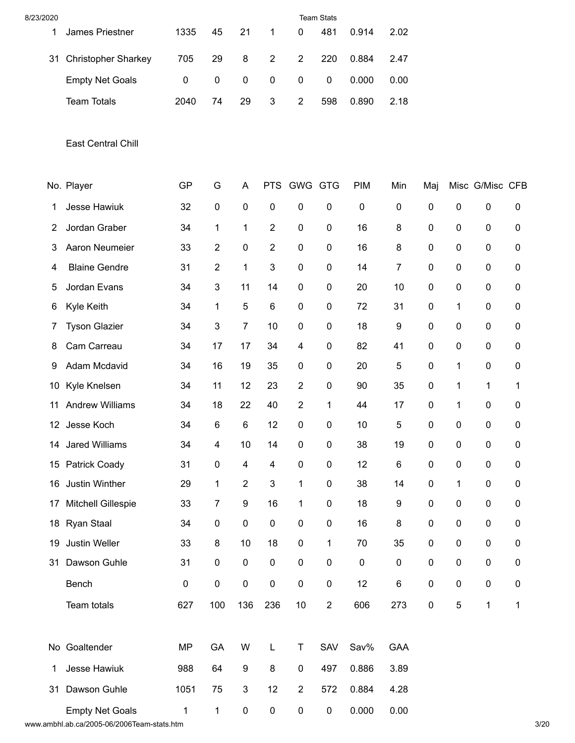| 8/23/2020 |                            |              |                  |                           |                |                  | <b>Team Stats</b> |            |                  |           |              |                 |           |
|-----------|----------------------------|--------------|------------------|---------------------------|----------------|------------------|-------------------|------------|------------------|-----------|--------------|-----------------|-----------|
| 1         | James Priestner            | 1335         | 45               | 21                        | 1              | 0                | 481               | 0.914      | 2.02             |           |              |                 |           |
| 31        | <b>Christopher Sharkey</b> | 705          | 29               | 8                         | $\overline{2}$ | $\overline{2}$   | 220               | 0.884      | 2.47             |           |              |                 |           |
|           | <b>Empty Net Goals</b>     | 0            | $\boldsymbol{0}$ | $\pmb{0}$                 | $\pmb{0}$      | $\pmb{0}$        | $\pmb{0}$         | 0.000      | 0.00             |           |              |                 |           |
|           | <b>Team Totals</b>         | 2040         | 74               | 29                        | 3              | $\sqrt{2}$       | 598               | 0.890      | 2.18             |           |              |                 |           |
|           | East Central Chill         |              |                  |                           |                |                  |                   |            |                  |           |              |                 |           |
|           | No. Player                 | GP           | G                | A                         |                | PTS GWG GTG      |                   | <b>PIM</b> | Min              | Maj       |              | Misc G/Misc CFB |           |
| 1         | Jesse Hawiuk               | 32           | $\pmb{0}$        | $\pmb{0}$                 | $\pmb{0}$      | $\pmb{0}$        | $\pmb{0}$         | $\pmb{0}$  | $\pmb{0}$        | 0         | 0            | 0               | 0         |
| 2         | Jordan Graber              | 34           | 1                | 1                         | $\overline{2}$ | $\pmb{0}$        | $\pmb{0}$         | 16         | 8                | 0         | $\pmb{0}$    | 0               | 0         |
| 3         | Aaron Neumeier             | 33           | 2                | $\pmb{0}$                 | $\overline{2}$ | $\pmb{0}$        | $\pmb{0}$         | 16         | 8                | 0         | $\pmb{0}$    | 0               | 0         |
| 4         | <b>Blaine Gendre</b>       | 31           | $\sqrt{2}$       | 1                         | 3              | $\pmb{0}$        | $\pmb{0}$         | 14         | 7                | 0         | $\pmb{0}$    | 0               | 0         |
| 5         | Jordan Evans               | 34           | 3                | 11                        | 14             | $\pmb{0}$        | $\pmb{0}$         | 20         | 10               | 0         | $\pmb{0}$    | 0               | 0         |
| 6         | Kyle Keith                 | 34           | 1                | $\sqrt{5}$                | 6              | $\pmb{0}$        | $\pmb{0}$         | 72         | 31               | 0         | $\mathbf{1}$ | 0               | 0         |
| 7         | <b>Tyson Glazier</b>       | 34           | 3                | $\overline{7}$            | 10             | $\pmb{0}$        | $\pmb{0}$         | 18         | 9                | 0         | $\pmb{0}$    | 0               | 0         |
| 8         | Cam Carreau                | 34           | 17               | 17                        | 34             | 4                | 0                 | 82         | 41               | 0         | $\pmb{0}$    | 0               | 0         |
| 9         | Adam Mcdavid               | 34           | 16               | 19                        | 35             | $\pmb{0}$        | 0                 | 20         | 5                | 0         | 1            | 0               | 0         |
| 10        | Kyle Knelsen               | 34           | 11               | 12                        | 23             | $\overline{2}$   | $\pmb{0}$         | 90         | 35               | 0         | 1            | 1               | 1         |
| 11        | <b>Andrew Williams</b>     | 34           | 18               | 22                        | 40             | $\overline{2}$   | 1                 | 44         | 17               | 0         | 1            | 0               | 0         |
|           | 12 Jesse Koch              | 34           | $\,6$            | $\,6$                     | 12             | $\pmb{0}$        | $\pmb{0}$         | 10         | 5                | $\pmb{0}$ | $\pmb{0}$    | 0               | 0         |
|           | 14 Jared Williams          | 34           | 4                | 10                        | 14             | 0                | $\pmb{0}$         | 38         | 19               | 0         | 0            | 0               | 0         |
|           | 15 Patrick Coady           | 31           | $\pmb{0}$        | $\overline{\mathbf{4}}$   | $\overline{4}$ | $\pmb{0}$        | $\pmb{0}$         | 12         | $\,6$            | 0         | $\pmb{0}$    | $\pmb{0}$       | $\pmb{0}$ |
| 16        | Justin Winther             | 29           | $\mathbf{1}$     | $\overline{2}$            | 3              | 1                | $\pmb{0}$         | 38         | 14               | 0         | 1            | $\pmb{0}$       | 0         |
| 17        | Mitchell Gillespie         | 33           | $\boldsymbol{7}$ | $\boldsymbol{9}$          | 16             | $\mathbf{1}$     | $\pmb{0}$         | 18         | $\boldsymbol{9}$ | 0         | $\pmb{0}$    | $\pmb{0}$       | $\pmb{0}$ |
|           | 18 Ryan Staal              | 34           | $\pmb{0}$        | $\pmb{0}$                 | $\pmb{0}$      | $\pmb{0}$        | $\pmb{0}$         | 16         | 8                | 0         | $\pmb{0}$    | $\pmb{0}$       | 0         |
| 19        | Justin Weller              | 33           | $\bf 8$          | 10                        | 18             | $\pmb{0}$        | 1                 | 70         | 35               | 0         | $\pmb{0}$    | 0               | 0         |
| 31        | Dawson Guhle               | 31           | $\pmb{0}$        | $\pmb{0}$                 | $\pmb{0}$      | $\pmb{0}$        | $\pmb{0}$         | $\pmb{0}$  | $\pmb{0}$        | 0         | $\pmb{0}$    | 0               | 0         |
|           | Bench                      | 0            | $\pmb{0}$        | $\pmb{0}$                 | $\pmb{0}$      | $\pmb{0}$        | $\pmb{0}$         | 12         | 6                | 0         | $\pmb{0}$    | $\pmb{0}$       | $\pmb{0}$ |
|           | Team totals                | 627          | 100              | 136                       | 236            | $10$             | $\overline{2}$    | 606        | 273              | $\pmb{0}$ | $\mathbf 5$  | $\mathbf 1$     | 1         |
|           | No Goaltender              | <b>MP</b>    | GA               | W                         | L              | Τ                | SAV               | Sav%       | <b>GAA</b>       |           |              |                 |           |
| 1         | Jesse Hawiuk               | 988          | 64               | $\boldsymbol{9}$          | 8              | $\pmb{0}$        | 497               | 0.886      | 3.89             |           |              |                 |           |
| 31        | Dawson Guhle               | 1051         | 75               | $\ensuremath{\mathsf{3}}$ | 12             | $\boldsymbol{2}$ | 572               | 0.884      | 4.28             |           |              |                 |           |
|           | <b>Empty Net Goals</b>     | $\mathbf{1}$ | $\mathbf{1}$     | $\pmb{0}$                 | $\pmb{0}$      | $\pmb{0}$        | $\pmb{0}$         | 0.000      | 0.00             |           |              |                 |           |

www.ambhl.ab.ca/2005-06/2006Team-stats.htm 3/20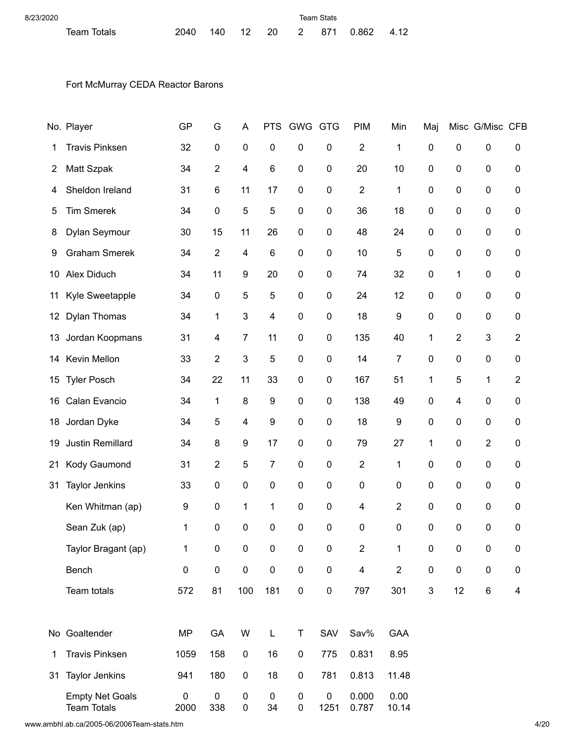| 8/23/2020   |  |  | Team Stats |  |                                 |  |
|-------------|--|--|------------|--|---------------------------------|--|
| Team Totals |  |  |            |  | 2040 140 12 20 2 871 0.862 4.12 |  |

## Fort McMurray CEDA Reactor Barons

|                   | No. Player                                   | GP        | G                | A                       | <b>PTS</b>              | <b>GWG</b>             | <b>GTG</b>        | <b>PIM</b>              | Min            | Maj                       |                  | Misc G/Misc CFB  |                |
|-------------------|----------------------------------------------|-----------|------------------|-------------------------|-------------------------|------------------------|-------------------|-------------------------|----------------|---------------------------|------------------|------------------|----------------|
| 1                 | <b>Travis Pinksen</b>                        | 32        | $\pmb{0}$        | $\pmb{0}$               | $\pmb{0}$               | 0                      | $\pmb{0}$         | $\overline{2}$          | 1              | $\pmb{0}$                 | $\pmb{0}$        | $\pmb{0}$        | 0              |
| 2                 | Matt Szpak                                   | 34        | $\overline{2}$   | 4                       | $\,6$                   | 0                      | $\boldsymbol{0}$  | 20                      | 10             | $\pmb{0}$                 | $\pmb{0}$        | $\pmb{0}$        | 0              |
| 4                 | Sheldon Ireland                              | 31        | 6                | 11                      | 17                      | $\pmb{0}$              | $\pmb{0}$         | $\overline{2}$          | 1              | $\pmb{0}$                 | $\pmb{0}$        | $\pmb{0}$        | 0              |
| 5                 | <b>Tim Smerek</b>                            | 34        | $\pmb{0}$        | 5                       | 5                       | $\mathbf 0$            | $\boldsymbol{0}$  | 36                      | 18             | $\pmb{0}$                 | $\boldsymbol{0}$ | $\pmb{0}$        | 0              |
| 8                 | Dylan Seymour                                | 30        | 15               | 11                      | 26                      | $\pmb{0}$              | $\boldsymbol{0}$  | 48                      | 24             | $\pmb{0}$                 | $\pmb{0}$        | $\pmb{0}$        | 0              |
| 9                 | <b>Graham Smerek</b>                         | 34        | $\overline{2}$   | $\overline{\mathbf{4}}$ | $\,6$                   | 0                      | $\boldsymbol{0}$  | 10                      | 5              | $\boldsymbol{0}$          | $\boldsymbol{0}$ | $\pmb{0}$        | 0              |
| 10                | Alex Diduch                                  | 34        | 11               | 9                       | 20                      | 0                      | $\boldsymbol{0}$  | 74                      | 32             | $\pmb{0}$                 | 1                | $\pmb{0}$        | 0              |
| 11                | Kyle Sweetapple                              | 34        | $\pmb{0}$        | 5                       | 5                       | $\mathbf 0$            | $\boldsymbol{0}$  | 24                      | 12             | $\mathbf 0$               | $\boldsymbol{0}$ | 0                | 0              |
| $12 \overline{ }$ | <b>Dylan Thomas</b>                          | 34        | 1                | $\mathbf{3}$            | $\overline{\mathbf{4}}$ | 0                      | $\boldsymbol{0}$  | 18                      | 9              | $\pmb{0}$                 | $\boldsymbol{0}$ | $\pmb{0}$        | 0              |
| 13                | Jordan Koopmans                              | 31        | 4                | $\overline{7}$          | 11                      | 0                      | $\pmb{0}$         | 135                     | 40             | 1                         | 2                | 3                | $\overline{2}$ |
| 14                | Kevin Mellon                                 | 33        | $\overline{c}$   | 3                       | 5                       | 0                      | $\pmb{0}$         | 14                      | 7              | $\pmb{0}$                 | $\pmb{0}$        | 0                | 0              |
| 15                | <b>Tyler Posch</b>                           | 34        | 22               | 11                      | 33                      | $\mathbf 0$            | $\pmb{0}$         | 167                     | 51             | 1                         | 5                | 1                | $\overline{2}$ |
| 16                | Calan Evancio                                | 34        | 1                | 8                       | $\boldsymbol{9}$        | $\pmb{0}$              | 0                 | 138                     | 49             | $\pmb{0}$                 | 4                | $\pmb{0}$        | 0              |
| 18                | Jordan Dyke                                  | 34        | 5                | $\overline{\mathbf{4}}$ | $\boldsymbol{9}$        | 0                      | $\boldsymbol{0}$  | 18                      | 9              | $\boldsymbol{0}$          | $\boldsymbol{0}$ | $\pmb{0}$        | 0              |
| 19                | Justin Remillard                             | 34        | 8                | 9                       | 17                      | 0                      | $\pmb{0}$         | 79                      | 27             | 1                         | $\pmb{0}$        | $\overline{2}$   | 0              |
| 21                | Kody Gaumond                                 | 31        | $\overline{2}$   | 5                       | $\overline{7}$          | $\mathbf 0$            | $\pmb{0}$         | $\overline{2}$          | 1              | $\mathbf 0$               | $\pmb{0}$        | 0                | 0              |
| 31                | <b>Taylor Jenkins</b>                        | 33        | $\pmb{0}$        | $\pmb{0}$               | $\mathbf 0$             | 0                      | $\pmb{0}$         | $\pmb{0}$               | $\pmb{0}$      | $\mathbf 0$               | $\pmb{0}$        | $\pmb{0}$        | 0              |
|                   | Ken Whitman (ap)                             | 9         | $\pmb{0}$        | 1                       | 1                       | $\mathbf 0$            | $\pmb{0}$         | 4                       | $\overline{2}$ | $\mathbf 0$               | $\boldsymbol{0}$ | $\boldsymbol{0}$ | 0              |
|                   | Sean Zuk (ap)                                | 1         | $\boldsymbol{0}$ | $\boldsymbol{0}$        | 0                       | $\pmb{0}$              | $\pmb{0}$         | 0                       | 0              | $\mathbf 0$               | $\boldsymbol{0}$ | 0                | 0              |
|                   | Taylor Bragant (ap)                          | 1         | $\boldsymbol{0}$ | $\pmb{0}$               | $\pmb{0}$               | $\pmb{0}$              | $\boldsymbol{0}$  | $\overline{2}$          | 1              | $\pmb{0}$                 | $\pmb{0}$        | $\pmb{0}$        | 0              |
|                   | Bench                                        | $\pmb{0}$ | $\pmb{0}$        | $\pmb{0}$               | $\pmb{0}$               | $\pmb{0}$              | $\pmb{0}$         | $\overline{\mathbf{4}}$ | $\sqrt{2}$     | $\pmb{0}$                 | $\pmb{0}$        | $\pmb{0}$        | $\pmb{0}$      |
|                   | Team totals                                  | 572       | 81               | 100                     | 181                     | $\pmb{0}$              | $\pmb{0}$         | 797                     | 301            | $\ensuremath{\mathsf{3}}$ | 12               | $\,6$            | 4              |
|                   |                                              |           |                  |                         |                         |                        |                   |                         |                |                           |                  |                  |                |
|                   | No Goaltender                                | <b>MP</b> | GA               | W                       | L                       | T                      | SAV               | Sav%                    | <b>GAA</b>     |                           |                  |                  |                |
| 1                 | <b>Travis Pinksen</b>                        | 1059      | 158              | $\pmb{0}$               | 16                      | $\pmb{0}$              | 775               | 0.831                   | 8.95           |                           |                  |                  |                |
| 31                | <b>Taylor Jenkins</b>                        | 941       | 180              | $\pmb{0}$               | 18                      | $\pmb{0}$              | 781               | 0.813                   | 11.48          |                           |                  |                  |                |
|                   | <b>Empty Net Goals</b><br><b>Team Totals</b> | 0<br>2000 | $\pmb{0}$<br>338 | $\pmb{0}$<br>$\pmb{0}$  | $\pmb{0}$<br>34         | $\pmb{0}$<br>$\pmb{0}$ | $\pmb{0}$<br>1251 | 0.000<br>0.787          | 0.00<br>10.14  |                           |                  |                  |                |

www.ambhl.ab.ca/2005-06/2006Team-stats.htm 4/20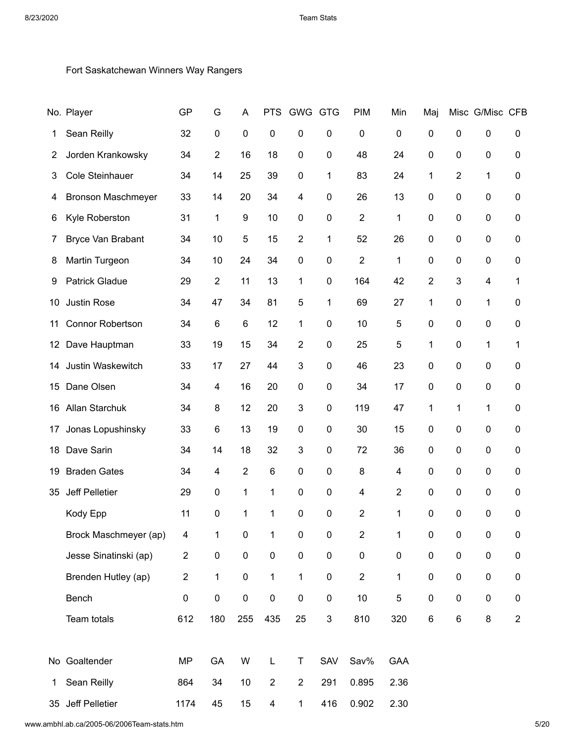## Fort Saskatchewan Winners Way Rangers

|                 | No. Player                | GP             | G              | Α              | <b>PTS</b>              | <b>GWG</b>              | <b>GTG</b>                | <b>PIM</b>       | Min            | Maj            |                  | Misc G/Misc CFB  |                  |
|-----------------|---------------------------|----------------|----------------|----------------|-------------------------|-------------------------|---------------------------|------------------|----------------|----------------|------------------|------------------|------------------|
| 1               | Sean Reilly               | 32             | $\pmb{0}$      | $\pmb{0}$      | $\mathbf 0$             | 0                       | 0                         | $\boldsymbol{0}$ | $\pmb{0}$      | 0              | $\mathbf 0$      | $\pmb{0}$        | 0                |
| $\overline{2}$  | Jorden Krankowsky         | 34             | $\overline{2}$ | 16             | 18                      | $\boldsymbol{0}$        | 0                         | 48               | 24             | $\pmb{0}$      | 0                | $\pmb{0}$        | 0                |
| 3               | <b>Cole Steinhauer</b>    | 34             | 14             | 25             | 39                      | $\boldsymbol{0}$        | 1                         | 83               | 24             | $\mathbf 1$    | 2                | 1                | 0                |
| 4               | <b>Bronson Maschmeyer</b> | 33             | 14             | 20             | 34                      | $\overline{\mathbf{4}}$ | 0                         | 26               | 13             | 0              | 0                | $\pmb{0}$        | 0                |
| 6               | Kyle Roberston            | 31             | 1              | 9              | 10                      | $\boldsymbol{0}$        | 0                         | $\overline{2}$   | 1              | 0              | 0                | $\pmb{0}$        | 0                |
| 7               | Bryce Van Brabant         | 34             | 10             | 5              | 15                      | $\overline{2}$          | 1                         | 52               | 26             | $\mathbf 0$    | $\boldsymbol{0}$ | $\pmb{0}$        | 0                |
| 8               | Martin Turgeon            | 34             | 10             | 24             | 34                      | $\mathbf 0$             | 0                         | $\overline{2}$   | 1              | 0              | 0                | $\pmb{0}$        | 0                |
| 9               | <b>Patrick Gladue</b>     | 29             | $\sqrt{2}$     | 11             | 13                      | 1                       | 0                         | 164              | 42             | $\overline{2}$ | 3                | 4                | 1                |
| 10              | Justin Rose               | 34             | 47             | 34             | 81                      | 5                       | 1                         | 69               | 27             | 1              | 0                | 1                | 0                |
| 11              | <b>Connor Robertson</b>   | 34             | $\,6$          | $\,6$          | 12                      | 1                       | 0                         | 10               | 5              | $\pmb{0}$      | $\boldsymbol{0}$ | $\pmb{0}$        | 0                |
| 12 <sub>2</sub> | Dave Hauptman             | 33             | 19             | 15             | 34                      | $\overline{2}$          | 0                         | 25               | 5              | 1              | $\boldsymbol{0}$ | 1                | 1                |
| 14              | Justin Waskewitch         | 33             | 17             | 27             | 44                      | $\mathbf{3}$            | 0                         | 46               | 23             | 0              | 0                | $\pmb{0}$        | 0                |
| 15              | Dane Olsen                | 34             | 4              | 16             | 20                      | $\boldsymbol{0}$        | 0                         | 34               | 17             | 0              | 0                | $\pmb{0}$        | 0                |
| 16              | Allan Starchuk            | 34             | 8              | 12             | 20                      | $\mathbf{3}$            | 0                         | 119              | 47             | 1              | 1                | 1                | 0                |
| 17              | Jonas Lopushinsky         | 33             | 6              | 13             | 19                      | $\boldsymbol{0}$        | 0                         | 30               | 15             | 0              | 0                | $\boldsymbol{0}$ | 0                |
| 18              | Dave Sarin                | 34             | 14             | 18             | 32                      | $\mathbf{3}$            | 0                         | 72               | 36             | 0              | 0                | $\pmb{0}$        | 0                |
| 19              | <b>Braden Gates</b>       | 34             | 4              | $\overline{2}$ | 6                       | $\pmb{0}$               | 0                         | 8                | 4              | 0              | 0                | $\boldsymbol{0}$ | 0                |
| 35              | Jeff Pelletier            | 29             | $\pmb{0}$      | 1              | 1                       | $\pmb{0}$               | $\pmb{0}$                 | 4                | $\overline{2}$ | $\mathbf 0$    | $\boldsymbol{0}$ | $\pmb{0}$        | 0                |
|                 | Kody Epp                  | 11             | 0              | 1              | 1                       | $\pmb{0}$               | $\pmb{0}$                 | $\overline{2}$   | 1              | 0              | $\boldsymbol{0}$ | 0                | 0                |
|                 | Brock Maschmeyer (ap)     | 4              | 1              | $\pmb{0}$      | 1                       | $\pmb{0}$               | 0                         | $\boldsymbol{2}$ | 1              | $\pmb{0}$      | $\pmb{0}$        | $\pmb{0}$        | $\boldsymbol{0}$ |
|                 | Jesse Sinatinski (ap)     | $\overline{c}$ | $\pmb{0}$      | $\pmb{0}$      | $\pmb{0}$               | $\pmb{0}$               | $\pmb{0}$                 | $\pmb{0}$        | $\pmb{0}$      | $\pmb{0}$      | $\pmb{0}$        | $\pmb{0}$        | $\pmb{0}$        |
|                 | Brenden Hutley (ap)       | $\overline{c}$ | $\mathbf{1}$   | $\pmb{0}$      | $\mathbf{1}$            | 1                       | $\pmb{0}$                 | $\overline{2}$   | $\mathbf{1}$   | $\pmb{0}$      | $\pmb{0}$        | $\pmb{0}$        | $\pmb{0}$        |
|                 | Bench                     | $\pmb{0}$      | $\pmb{0}$      | $\pmb{0}$      | $\pmb{0}$               | $\pmb{0}$               | $\pmb{0}$                 | 10               | 5              | $\pmb{0}$      | $\pmb{0}$        | $\pmb{0}$        | 0                |
|                 | Team totals               | 612            | 180            | 255            | 435                     | 25                      | $\ensuremath{\mathsf{3}}$ | 810              | 320            | $\,6\,$        | $\,6\,$          | $\bf 8$          | $\overline{2}$   |
|                 |                           |                |                |                |                         |                         |                           |                  |                |                |                  |                  |                  |
|                 | No Goaltender             | <b>MP</b>      | GA             | W              | L                       | T                       | SAV                       | Sav%             | GAA            |                |                  |                  |                  |
| 1               | Sean Reilly               | 864            | 34             | 10             | $\sqrt{2}$              | $\sqrt{2}$              | 291                       | 0.895            | 2.36           |                |                  |                  |                  |
|                 | 35 Jeff Pelletier         | 1174           | 45             | 15             | $\overline{\mathbf{4}}$ | 1                       | 416                       | 0.902            | 2.30           |                |                  |                  |                  |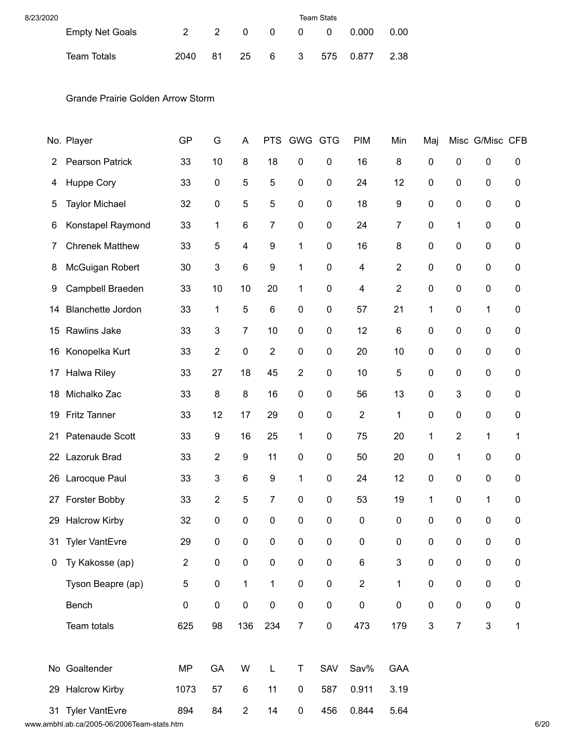| 8/23/2020 |                        | <b>Team Stats</b> |     |  |  |                       |      |
|-----------|------------------------|-------------------|-----|--|--|-----------------------|------|
|           | <b>Empty Net Goals</b> |                   |     |  |  | 2 2 0 0 0 0 0.000     | 0.00 |
|           | Team Totals            | 2040              | -81 |  |  | 25 6 3 575 0.877 2.38 |      |

Grande Prairie Golden Arrow Storm

|    | No. Player               | GP             | G              | A              | <b>PTS</b>     | <b>GWG</b>       | <b>GTG</b>  | <b>PIM</b>     | Min              | Maj                       |                  | Misc G/Misc CFB           |              |
|----|--------------------------|----------------|----------------|----------------|----------------|------------------|-------------|----------------|------------------|---------------------------|------------------|---------------------------|--------------|
| 2  | <b>Pearson Patrick</b>   | 33             | 10             | 8              | 18             | 0                | 0           | 16             | 8                | $\pmb{0}$                 | $\boldsymbol{0}$ | $\pmb{0}$                 | 0            |
| 4  | Huppe Cory               | 33             | 0              | 5              | 5              | $\mathbf 0$      | 0           | 24             | 12               | $\mathbf 0$               | $\pmb{0}$        | 0                         | 0            |
| 5  | <b>Taylor Michael</b>    | 32             | 0              | 5              | 5              | $\pmb{0}$        | 0           | 18             | 9                | $\mathbf 0$               | $\pmb{0}$        | $\pmb{0}$                 | 0            |
| 6  | Konstapel Raymond        | 33             | 1              | 6              | $\overline{7}$ | $\mathbf 0$      | 0           | 24             | $\overline{7}$   | $\mathbf 0$               | 1                | $\pmb{0}$                 | 0            |
| 7  | <b>Chrenek Matthew</b>   | 33             | 5              | 4              | 9              | 1                | 0           | 16             | 8                | $\mathbf 0$               | $\boldsymbol{0}$ | 0                         | 0            |
| 8  | McGuigan Robert          | 30             | 3              | 6              | 9              | 1                | 0           | 4              | $\overline{2}$   | $\mathbf 0$               | $\mathbf 0$      | 0                         | 0            |
| 9  | Campbell Braeden         | 33             | 10             | 10             | 20             | 1                | 0           | 4              | $\overline{2}$   | $\mathbf 0$               | $\pmb{0}$        | $\pmb{0}$                 | 0            |
| 14 | <b>Blanchette Jordon</b> | 33             | 1              | 5              | 6              | $\mathbf 0$      | 0           | 57             | 21               | 1                         | $\pmb{0}$        | 1                         | 0            |
| 15 | Rawlins Jake             | 33             | 3              | 7              | 10             | $\mathbf 0$      | 0           | 12             | $\,6$            | $\mathbf 0$               | $\boldsymbol{0}$ | 0                         | 0            |
| 16 | Konopelka Kurt           | 33             | $\overline{2}$ | $\pmb{0}$      | $\overline{2}$ | $\mathbf 0$      | 0           | 20             | 10               | $\mathbf 0$               | $\boldsymbol{0}$ | 0                         | 0            |
| 17 | Halwa Riley              | 33             | 27             | 18             | 45             | $\overline{2}$   | 0           | 10             | 5                | $\pmb{0}$                 | $\boldsymbol{0}$ | $\pmb{0}$                 | 0            |
| 18 | Michalko Zac             | 33             | 8              | 8              | 16             | $\mathbf 0$      | 0           | 56             | 13               | $\mathbf 0$               | 3                | 0                         | 0            |
| 19 | <b>Fritz Tanner</b>      | 33             | 12             | 17             | 29             | 0                | 0           | $\overline{2}$ | 1                | $\mathbf 0$               | $\boldsymbol{0}$ | 0                         | 0            |
| 21 | Patenaude Scott          | 33             | 9              | 16             | 25             | 1                | $\mathbf 0$ | 75             | 20               | 1                         | $\overline{2}$   | 1                         | 1            |
| 22 | Lazoruk Brad             | 33             | $\overline{2}$ | 9              | 11             | $\mathbf 0$      | 0           | 50             | 20               | $\mathbf 0$               | 1                | $\pmb{0}$                 | 0            |
| 26 | Larocque Paul            | 33             | 3              | 6              | 9              | 1                | 0           | 24             | 12               | $\mathbf 0$               | $\mathbf 0$      | 0                         | 0            |
| 27 | Forster Bobby            | 33             | $\overline{2}$ | 5              | 7              | $\mathbf 0$      | 0           | 53             | 19               | 1                         | $\boldsymbol{0}$ | 1                         | 0            |
| 29 | <b>Halcrow Kirby</b>     | 32             | 0              | $\mathbf 0$    | 0              | $\mathbf 0$      | 0           | $\mathbf 0$    | $\boldsymbol{0}$ | $\mathbf 0$               | $\boldsymbol{0}$ | 0                         | 0            |
| 31 | <b>Tyler VantEvre</b>    | 29             | 0              | 0              | $\pmb{0}$      | 0                | 0           | 0              | 0                | $\pmb{0}$                 | $\boldsymbol{0}$ | 0                         | 0            |
| 0  | Ty Kakosse (ap)          | $\overline{c}$ | 0              | $\pmb{0}$      | 0              | $\pmb{0}$        | 0           | 6              | 3                | $\pmb{0}$                 | $\boldsymbol{0}$ | $\pmb{0}$                 | 0            |
|    | Tyson Beapre (ap)        | 5              | $\pmb{0}$      | $\mathbf{1}$   | 1              | $\pmb{0}$        | $\pmb{0}$   | $\overline{2}$ | 1                | $\pmb{0}$                 | $\pmb{0}$        | $\pmb{0}$                 | $\pmb{0}$    |
|    | Bench                    | $\pmb{0}$      | $\pmb{0}$      | $\pmb{0}$      | $\pmb{0}$      | $\pmb{0}$        | $\pmb{0}$   | $\pmb{0}$      | $\pmb{0}$        | $\pmb{0}$                 | $\pmb{0}$        | $\pmb{0}$                 | $\pmb{0}$    |
|    | Team totals              | 625            | 98             | 136            | 234            | $\boldsymbol{7}$ | $\pmb{0}$   | 473            | 179              | $\ensuremath{\mathsf{3}}$ | $\overline{7}$   | $\ensuremath{\mathsf{3}}$ | $\mathbf{1}$ |
|    | No Goaltender            | <b>MP</b>      | GA             | W              | L              | T                | SAV         | Sav%           | GAA              |                           |                  |                           |              |
|    | 29 Halcrow Kirby         | 1073           | 57             | $\,6\,$        | 11             | $\pmb{0}$        | 587         | 0.911          | 3.19             |                           |                  |                           |              |
|    | 31 Tyler VantEvre        | 894            | 84             | $\overline{c}$ | 14             | $\pmb{0}$        | 456         | 0.844          | 5.64             |                           |                  |                           |              |
|    |                          |                |                |                |                |                  |             |                |                  |                           |                  |                           |              |

www.ambhl.ab.ca/2005-06/2006Team-stats.htm 6/20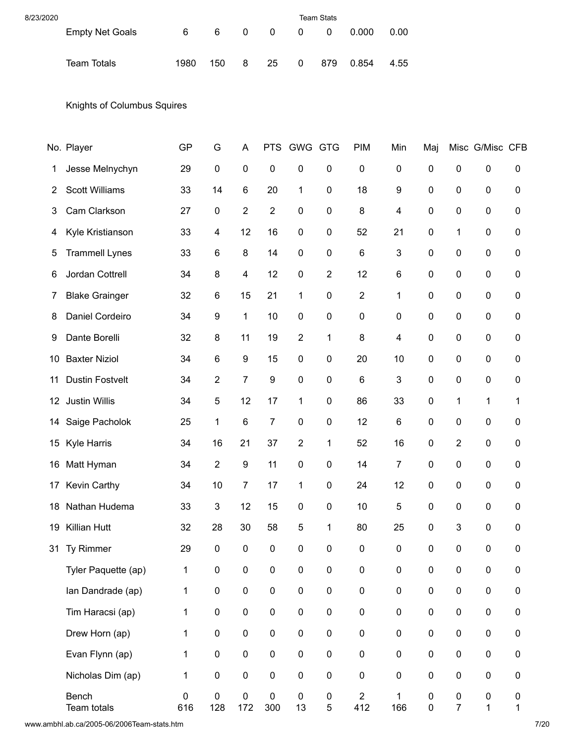| 8/23/2020 |                        |      |     | <b>Team Stats</b> |                |                |              |             |      |
|-----------|------------------------|------|-----|-------------------|----------------|----------------|--------------|-------------|------|
|           | <b>Empty Net Goals</b> | 6    | 6   | 0                 | $\overline{0}$ | $\overline{0}$ | $\mathbf{0}$ | 0.000       | 0.00 |
|           | Team Totals            | 1980 | 150 | 8                 | 25             |                |              | 0 879 0.854 | 4.55 |

Knights of Columbus Squires

|                | No. Player             | GP           | G                         | A                        | <b>PTS</b>       | <b>GWG</b>       | <b>GTG</b>       | <b>PIM</b>            | Min                       | Maj                    |                             | Misc G/Misc CFB           |                  |
|----------------|------------------------|--------------|---------------------------|--------------------------|------------------|------------------|------------------|-----------------------|---------------------------|------------------------|-----------------------------|---------------------------|------------------|
| 1              | Jesse Melnychyn        | 29           | $\pmb{0}$                 | $\pmb{0}$                | $\mathbf 0$      | 0                | 0                | $\boldsymbol{0}$      | $\pmb{0}$                 | 0                      | $\pmb{0}$                   | $\pmb{0}$                 | 0                |
| $\overline{2}$ | <b>Scott Williams</b>  | 33           | 14                        | $\,6$                    | 20               | 1                | 0                | 18                    | 9                         | 0                      | 0                           | $\pmb{0}$                 | 0                |
| 3              | Cam Clarkson           | 27           | $\pmb{0}$                 | $\overline{2}$           | $\overline{2}$   | $\pmb{0}$        | 0                | 8                     | 4                         | 0                      | 0                           | $\boldsymbol{0}$          | 0                |
| 4              | Kyle Kristianson       | 33           | 4                         | 12                       | 16               | $\pmb{0}$        | $\pmb{0}$        | 52                    | 21                        | 0                      | 1                           | $\pmb{0}$                 | 0                |
| 5              | <b>Trammell Lynes</b>  | 33           | 6                         | 8                        | 14               | $\pmb{0}$        | $\mathbf 0$      | 6                     | $\ensuremath{\mathsf{3}}$ | 0                      | 0                           | $\pmb{0}$                 | 0                |
| 6              | Jordan Cottrell        | 34           | 8                         | $\overline{\mathcal{A}}$ | 12               | $\boldsymbol{0}$ | $\boldsymbol{2}$ | 12                    | $\,6$                     | $\mathbf 0$            | $\boldsymbol{0}$            | $\pmb{0}$                 | 0                |
| 7              | <b>Blake Grainger</b>  | 32           | 6                         | 15                       | 21               | 1                | $\mathbf 0$      | $\overline{2}$        | 1                         | 0                      | 0                           | $\boldsymbol{0}$          | 0                |
| 8              | Daniel Cordeiro        | 34           | $\boldsymbol{9}$          | 1                        | 10               | $\pmb{0}$        | 0                | $\boldsymbol{0}$      | $\boldsymbol{0}$          | 0                      | 0                           | $\pmb{0}$                 | 0                |
| 9              | Dante Borelli          | 32           | 8                         | 11                       | 19               | $\overline{2}$   | 1                | 8                     | $\overline{\mathbf{4}}$   | 0                      | 0                           | $\boldsymbol{0}$          | 0                |
| 10             | <b>Baxter Niziol</b>   | 34           | $\,6$                     | $\boldsymbol{9}$         | 15               | $\boldsymbol{0}$ | $\boldsymbol{0}$ | 20                    | 10                        | $\pmb{0}$              | 0                           | $\pmb{0}$                 | 0                |
| 11             | <b>Dustin Fostvelt</b> | 34           | $\boldsymbol{2}$          | $\overline{7}$           | $\boldsymbol{9}$ | $\pmb{0}$        | $\boldsymbol{0}$ | $\,6$                 | 3                         | 0                      | 0                           | $\pmb{0}$                 | 0                |
| 12             | <b>Justin Willis</b>   | 34           | 5                         | 12                       | 17               | 1                | 0                | 86                    | 33                        | 0                      | 1                           | 1                         | 1                |
| 14             | Saige Pacholok         | 25           | 1                         | $\,6$                    | $\overline{7}$   | $\pmb{0}$        | $\mathbf 0$      | 12                    | $\,6$                     | 0                      | 0                           | $\pmb{0}$                 | 0                |
| 15             | <b>Kyle Harris</b>     | 34           | 16                        | 21                       | 37               | $\overline{2}$   | 1                | 52                    | 16                        | $\pmb{0}$              | $\boldsymbol{2}$            | $\pmb{0}$                 | 0                |
| 16             | Matt Hyman             | 34           | $\boldsymbol{2}$          | $\boldsymbol{9}$         | 11               | $\boldsymbol{0}$ | 0                | 14                    | $\overline{7}$            | 0                      | 0                           | $\boldsymbol{0}$          | 0                |
| 17             | Kevin Carthy           | 34           | 10                        | $\overline{7}$           | 17               | 1                | 0                | 24                    | 12                        | 0                      | 0                           | $\pmb{0}$                 | 0                |
| 18             | Nathan Hudema          | 33           | $\ensuremath{\mathsf{3}}$ | 12                       | 15               | $\boldsymbol{0}$ | 0                | 10                    | 5                         | 0                      | 0                           | $\pmb{0}$                 | 0                |
| 19             | <b>Killian Hutt</b>    | 32           | 28                        | 30                       | 58               | 5                | 1                | 80                    | 25                        | $\pmb{0}$              | 3                           | $\pmb{0}$                 | 0                |
| 31             | Ty Rimmer              | 29           | 0                         | 0                        | 0                | $\pmb{0}$        | $\pmb{0}$        | $\mathbf 0$           | $\pmb{0}$                 | 0                      | $\boldsymbol{0}$            | 0                         | 0                |
|                | Tyler Paquette (ap)    | $\mathbf 1$  | $\pmb{0}$                 | $\pmb{0}$                | $\pmb{0}$        | $\pmb{0}$        | $\pmb{0}$        | $\pmb{0}$             | $\pmb{0}$                 | $\pmb{0}$              | $\pmb{0}$                   | $\pmb{0}$                 | 0                |
|                | Ian Dandrade (ap)      | 1            | $\pmb{0}$                 | $\pmb{0}$                | $\pmb{0}$        | $\pmb{0}$        | $\pmb{0}$        | $\pmb{0}$             | $\pmb{0}$                 | $\pmb{0}$              | $\pmb{0}$                   | $\pmb{0}$                 | 0                |
|                | Tim Haracsi (ap)       | $\mathbf 1$  | $\pmb{0}$                 | $\pmb{0}$                | $\pmb{0}$        | $\pmb{0}$        | $\pmb{0}$        | $\pmb{0}$             | $\pmb{0}$                 | $\pmb{0}$              | $\pmb{0}$                   | $\pmb{0}$                 | $\pmb{0}$        |
|                | Drew Horn (ap)         | $\mathbf{1}$ | $\pmb{0}$                 | $\pmb{0}$                | $\pmb{0}$        | $\pmb{0}$        | $\pmb{0}$        | $\pmb{0}$             | $\pmb{0}$                 | $\pmb{0}$              | $\pmb{0}$                   | $\pmb{0}$                 | $\pmb{0}$        |
|                | Evan Flynn (ap)        | $\mathbf 1$  | $\pmb{0}$                 | $\pmb{0}$                | $\pmb{0}$        | $\pmb{0}$        | $\pmb{0}$        | $\pmb{0}$             | $\pmb{0}$                 | $\pmb{0}$              | $\pmb{0}$                   | $\pmb{0}$                 | $\pmb{0}$        |
|                | Nicholas Dim (ap)      | 1            | $\pmb{0}$                 | $\pmb{0}$                | $\pmb{0}$        | $\pmb{0}$        | $\pmb{0}$        | $\pmb{0}$             | $\pmb{0}$                 | $\pmb{0}$              | $\pmb{0}$                   | $\pmb{0}$                 | 0                |
|                | Bench<br>Team totals   | 0<br>616     | $\pmb{0}$<br>128          | $\pmb{0}$<br>172         | $\pmb{0}$<br>300 | $\pmb{0}$<br>13  | $\pmb{0}$<br>5   | $\overline{2}$<br>412 | 1<br>166                  | $\pmb{0}$<br>$\pmb{0}$ | $\pmb{0}$<br>$\overline{7}$ | $\pmb{0}$<br>$\mathbf{1}$ | 0<br>$\mathbf 1$ |

www.ambhl.ab.ca/2005-06/2006Team-stats.htm 7/20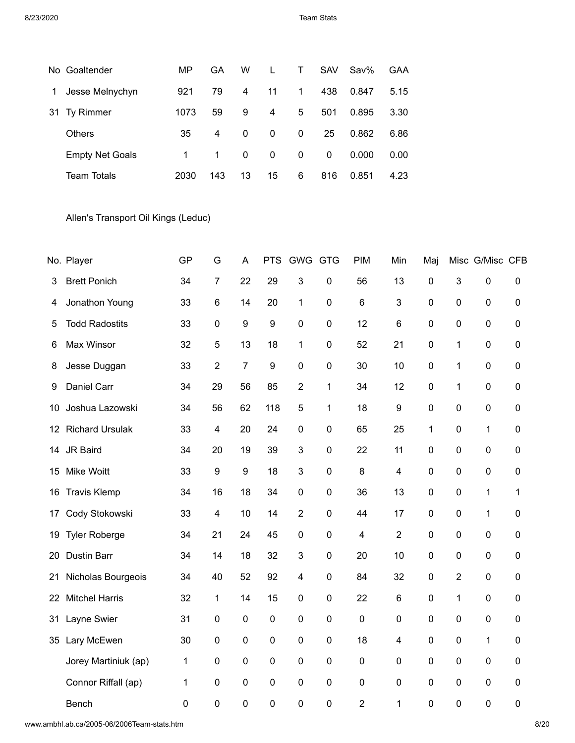|    | No Goaltender          | MP   | GA  | W            |              | т        | <b>SAV</b>   | $Sav\%$ | GAA  |
|----|------------------------|------|-----|--------------|--------------|----------|--------------|---------|------|
| 1  | Jesse Melnychyn        | 921  | 79  | 4            | 11           | 1        | 438          | 0.847   | 5.15 |
| 31 | <b>Ty Rimmer</b>       | 1073 | 59  | 9            | 4            | 5        | 501          | 0.895   | 3.30 |
|    | <b>Others</b>          | 35   | 4   | $\Omega$     | $\mathbf{0}$ | $\Omega$ | 25           | 0.862   | 6.86 |
|    | <b>Empty Net Goals</b> | 1    | 1   | $\mathbf{0}$ | 0            | 0        | $\mathbf{0}$ | 0.000   | 0.00 |
|    | <b>Team Totals</b>     | 2030 | 143 | 13           | 15           | 6        | 816          | 0.851   | 4.23 |

Allen's Transport Oil Kings (Leduc)

|     | No. Player             | GP             | G                       | A                | <b>PTS</b>       | GWG GTG                 |                | <b>PIM</b>  | Min             | Maj            |                | Misc G/Misc CFB  |                  |
|-----|------------------------|----------------|-------------------------|------------------|------------------|-------------------------|----------------|-------------|-----------------|----------------|----------------|------------------|------------------|
| 3   | <b>Brett Ponich</b>    | 34             | $\overline{7}$          | 22               | 29               | 3                       | $\pmb{0}$      | 56          | 13              | $\mathbf 0$    | 3              | $\pmb{0}$        | $\pmb{0}$        |
| 4   | Jonathon Young         | 33             | $\,6$                   | 14               | 20               | 1                       | $\pmb{0}$      | 6           | 3               | $\pmb{0}$      | 0              | $\pmb{0}$        | $\pmb{0}$        |
| 5   | <b>Todd Radostits</b>  | 33             | $\pmb{0}$               | $\boldsymbol{9}$ | 9                | $\mathbf 0$             | $\mathbf 0$    | 12          | $6\phantom{1}6$ | $\mathbf 0$    | 0              | $\boldsymbol{0}$ | $\mathbf 0$      |
| 6   | Max Winsor             | 32             | 5                       | 13               | 18               | 1                       | 0              | 52          | 21              | $\mathbf 0$    | 1              | $\pmb{0}$        | $\mathbf 0$      |
| 8   | Jesse Duggan           | 33             | $\overline{2}$          | $\overline{7}$   | $\boldsymbol{9}$ | $\pmb{0}$               | $\pmb{0}$      | 30          | 10              | $\mathbf 0$    | 1              | $\pmb{0}$        | $\pmb{0}$        |
| 9   | Daniel Carr            | 34             | 29                      | 56               | 85               | $\overline{2}$          | 1              | 34          | 12              | $\mathbf 0$    | 1              | $\boldsymbol{0}$ | $\pmb{0}$        |
| 10  | Joshua Lazowski        | 34             | 56                      | 62               | 118              | 5                       | 1              | 18          | 9               | $\pmb{0}$      | 0              | $\pmb{0}$        | $\mathbf 0$      |
| 12. | <b>Richard Ursulak</b> | 33             | $\overline{\mathbf{4}}$ | 20               | 24               | $\pmb{0}$               | $\pmb{0}$      | 65          | 25              | 1              | 0              | 1                | $\pmb{0}$        |
| 14  | JR Baird               | 34             | 20                      | 19               | 39               | 3                       | $\mathbf 0$    | 22          | 11              | $\mathbf 0$    | 0              | $\pmb{0}$        | $\mathbf 0$      |
| 15  | Mike Woitt             | 33             | $\boldsymbol{9}$        | $\boldsymbol{9}$ | 18               | 3                       | $\pmb{0}$      | 8           | 4               | $\mathbf 0$    | 0              | $\boldsymbol{0}$ | $\pmb{0}$        |
| 16  | <b>Travis Klemp</b>    | 34             | 16                      | 18               | 34               | $\mathbf 0$             | $\mathbf 0$    | 36          | 13              | $\mathbf 0$    | 0              | 1                | 1                |
| 17  | Cody Stokowski         | 33             | 4                       | 10               | 14               | $\overline{2}$          | $\mathbf 0$    | 44          | 17              | $\pmb{0}$      | 0              | 1                | $\boldsymbol{0}$ |
| 19  | <b>Tyler Roberge</b>   | 34             | 21                      | 24               | 45               | $\mathbf 0$             | $\mathbf 0$    | 4           | $\overline{2}$  | $\mathbf 0$    | 0              | 0                | $\mathbf 0$      |
| 20  | <b>Dustin Barr</b>     | 34             | 14                      | 18               | 32               | 3                       | $\mathbf 0$    | 20          | 10              | $\mathbf 0$    | 0              | $\pmb{0}$        | $\mathbf 0$      |
| 21  | Nicholas Bourgeois     | 34             | 40                      | 52               | 92               | $\overline{\mathbf{4}}$ | $\mathbf 0$    | 84          | 32              | $\mathbf 0$    | $\overline{2}$ | 0                | $\mathbf 0$      |
| 22  | <b>Mitchel Harris</b>  | 32             | $\mathbf{1}$            | 14               | 15               | 0                       | $\mathbf 0$    | 22          | 6               | $\mathbf 0$    | 1              | $\pmb{0}$        | $\mathbf 0$      |
| 31  | Layne Swier            | 31             | $\pmb{0}$               | $\pmb{0}$        | $\pmb{0}$        | $\pmb{0}$               | $\pmb{0}$      | $\pmb{0}$   | $\mathbf 0$     | $\pmb{0}$      | 0              | $\pmb{0}$        | $\pmb{0}$        |
| 35  | Lary McEwen            | 30             | $\pmb{0}$               | $\pmb{0}$        | $\boldsymbol{0}$ | $\pmb{0}$               | $\mathbf 0$    | 18          | 4               | $\mathbf 0$    | 0              | $\mathbf 1$      | $\mathbf 0$      |
|     | Jorey Martiniuk (ap)   | 1              | $\mathbf 0$             | $\mathbf 0$      | $\mathbf 0$      | $\overline{0}$          | $\overline{0}$ | $\mathbf 0$ | $\mathbf 0$     | $\overline{0}$ | 0              | $\mathbf 0$      | $\mathbf 0$      |
|     | Connor Riffall (ap)    | 1              | $\pmb{0}$               | $\pmb{0}$        | $\boldsymbol{0}$ | $\mathbf 0$             | $\pmb{0}$      | $\pmb{0}$   | $\mathbf 0$     | $\mathbf 0$    | 0              | $\pmb{0}$        | $\pmb{0}$        |
|     | Bench                  | $\overline{0}$ | $\mathbf 0$             | $\mathbf 0$      | $\mathbf 0$      | 0                       | 0              | 2           | 1               | $\mathbf 0$    | $\overline{0}$ | $\mathbf 0$      | $\mathbf 0$      |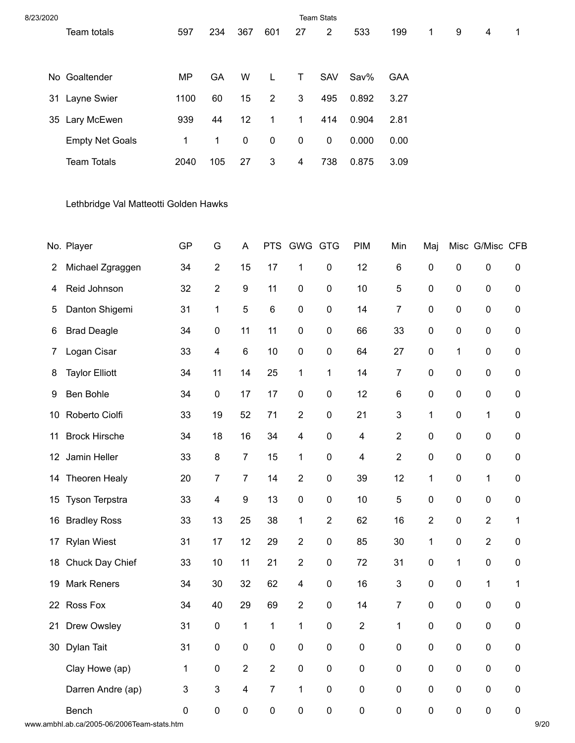| 8/23/2020 |                        |              |              |     |                |                  | <b>Team Stats</b> |       |      |              |   |   |   |
|-----------|------------------------|--------------|--------------|-----|----------------|------------------|-------------------|-------|------|--------------|---|---|---|
|           | Team totals            | 597          | 234          | 367 | 601            | 27               | $\overline{2}$    | 533   | 199  | $\mathbf{1}$ | 9 | 4 | 1 |
|           |                        |              |              |     |                |                  |                   |       |      |              |   |   |   |
|           | No Goaltender          | ΜP           | GA           | W   |                | т                | <b>SAV</b>        | Sav%  | GAA  |              |   |   |   |
| 31        | Layne Swier            | 1100         | 60           | 15  | $\overline{2}$ | 3                | 495               | 0.892 | 3.27 |              |   |   |   |
| 35        | Lary McEwen            | 939          | 44           | 12  | 1.             | 1                | 414               | 0.904 | 2.81 |              |   |   |   |
|           | <b>Empty Net Goals</b> | $\mathbf{1}$ | $\mathbf{1}$ | 0   | 0              | $\boldsymbol{0}$ | 0                 | 0.000 | 0.00 |              |   |   |   |
|           | <b>Team Totals</b>     | 2040         | 105          | 27  | 3              | 4                | 738               | 0.875 | 3.09 |              |   |   |   |

Lethbridge Val Matteotti Golden Hawks

|                 | No. Player            | GP          | G              | A                       | <b>PTS</b>     | GWG                     | <b>GTG</b>     | PIM                      | Min              | Maj              |                  | Misc G/Misc CFB  |             |
|-----------------|-----------------------|-------------|----------------|-------------------------|----------------|-------------------------|----------------|--------------------------|------------------|------------------|------------------|------------------|-------------|
| 2               | Michael Zgraggen      | 34          | $\overline{2}$ | 15                      | 17             | 1                       | 0              | 12                       | $\,6$            | $\boldsymbol{0}$ | $\mathbf 0$      | $\pmb{0}$        | 0           |
| 4               | Reid Johnson          | 32          | $\overline{2}$ | $\boldsymbol{9}$        | 11             | $\boldsymbol{0}$        | 0              | 10                       | $\mathbf 5$      | $\pmb{0}$        | $\pmb{0}$        | $\pmb{0}$        | 0           |
| 5               | Danton Shigemi        | 31          | $\mathbf{1}$   | 5                       | $\,6\,$        | $\boldsymbol{0}$        | 0              | 14                       | $\overline{7}$   | $\boldsymbol{0}$ | $\pmb{0}$        | $\pmb{0}$        | 0           |
| 6               | <b>Brad Deagle</b>    | 34          | 0              | 11                      | 11             | $\pmb{0}$               | 0              | 66                       | 33               | $\pmb{0}$        | $\pmb{0}$        | $\pmb{0}$        | 0           |
| 7               | Logan Cisar           | 33          | 4              | $\,6$                   | 10             | $\pmb{0}$               | $\pmb{0}$      | 64                       | 27               | $\pmb{0}$        | 1                | $\pmb{0}$        | 0           |
| 8               | <b>Taylor Elliott</b> | 34          | 11             | 14                      | 25             | 1                       | $\mathbf 1$    | 14                       | $\overline{7}$   | $\pmb{0}$        | $\pmb{0}$        | $\pmb{0}$        | 0           |
| 9               | Ben Bohle             | 34          | $\pmb{0}$      | 17                      | 17             | $\pmb{0}$               | 0              | 12                       | $\,6$            | 0                | $\pmb{0}$        | $\pmb{0}$        | 0           |
| 10              | Roberto Ciolfi        | 33          | 19             | 52                      | 71             | $\boldsymbol{2}$        | 0              | 21                       | $\mathbf{3}$     | $\mathbf 1$      | $\pmb{0}$        | $\mathbf{1}$     | 0           |
| 11              | <b>Brock Hirsche</b>  | 34          | 18             | 16                      | 34             | $\overline{4}$          | 0              | $\overline{\mathcal{A}}$ | $\overline{2}$   | $\mathbf 0$      | $\pmb{0}$        | $\pmb{0}$        | 0           |
| 12 <sub>2</sub> | Jamin Heller          | 33          | 8              | $\overline{7}$          | 15             | 1                       | 0              | 4                        | $\sqrt{2}$       | $\mathbf 0$      | $\mathbf 0$      | $\pmb{0}$        | 0           |
| 14              | Theoren Healy         | 20          | $\overline{7}$ | $\overline{7}$          | 14             | $\overline{2}$          | $\pmb{0}$      | 39                       | 12               | $\mathbf{1}$     | $\pmb{0}$        | $\mathbf{1}$     | 0           |
| 15              | Tyson Terpstra        | 33          | 4              | $\boldsymbol{9}$        | 13             | $\pmb{0}$               | 0              | 10                       | 5                | $\mathbf 0$      | $\pmb{0}$        | $\pmb{0}$        | 0           |
| 16              | <b>Bradley Ross</b>   | 33          | 13             | 25                      | 38             | 1                       | $\overline{2}$ | 62                       | 16               | $\overline{2}$   | $\pmb{0}$        | $\overline{2}$   | 1           |
| 17              | <b>Rylan Wiest</b>    | 31          | 17             | 12                      | 29             | $\overline{2}$          | 0              | 85                       | 30               | 1                | $\boldsymbol{0}$ | $\overline{2}$   | 0           |
| 18              | Chuck Day Chief       | 33          | 10             | 11                      | 21             | $\overline{2}$          | 0              | 72                       | 31               | $\boldsymbol{0}$ | 1                | $\boldsymbol{0}$ | 0           |
| 19              | <b>Mark Reners</b>    | 34          | 30             | 32                      | 62             | $\overline{\mathbf{4}}$ | $\pmb{0}$      | 16                       | $\mathbf{3}$     | $\mathbf 0$      | $\boldsymbol{0}$ | $\mathbf{1}$     | 1           |
|                 | 22 Ross Fox           | 34          | 40             | 29                      | 69             | $\overline{2}$          | 0              | 14                       | $\overline{7}$   | $\mathbf 0$      | $\pmb{0}$        | $\pmb{0}$        | $\mathbf 0$ |
| 21              | Drew Owsley           | 31          | $\pmb{0}$      | $\mathbf{1}$            | 1              | 1                       | 0              | $\overline{2}$           | $\mathbf{1}$     | $\boldsymbol{0}$ | $\pmb{0}$        | $\pmb{0}$        | $\pmb{0}$   |
| 30              | Dylan Tait            | 31          | $\pmb{0}$      | $\boldsymbol{0}$        | $\mathsf 0$    | $\boldsymbol{0}$        | $\mathsf 0$    | $\pmb{0}$                | $\boldsymbol{0}$ | $\boldsymbol{0}$ | $\boldsymbol{0}$ | $\pmb{0}$        | $\pmb{0}$   |
|                 | Clay Howe (ap)        | 1           | 0              | $\overline{2}$          | $\overline{2}$ | $\pmb{0}$               | 0              | $\mathbf 0$              | $\mathbf 0$      | $\mathbf 0$      | $\pmb{0}$        | $\pmb{0}$        | 0           |
|                 | Darren Andre (ap)     | 3           | 3              | $\overline{\mathbf{4}}$ | $\overline{7}$ | 1                       | $\pmb{0}$      | $\pmb{0}$                | $\pmb{0}$        | $\pmb{0}$        | $\pmb{0}$        | $\pmb{0}$        | $\pmb{0}$   |
|                 | Bench                 | $\mathbf 0$ | $\pmb{0}$      | $\pmb{0}$               | $\pmb{0}$      | $\mathbf 0$             | 0              | $\pmb{0}$                | $\boldsymbol{0}$ | $\mathbf 0$      | $\mathbf 0$      | $\pmb{0}$        | $\pmb{0}$   |

www.ambhl.ab.ca/2005-06/2006Team-stats.htm 9/20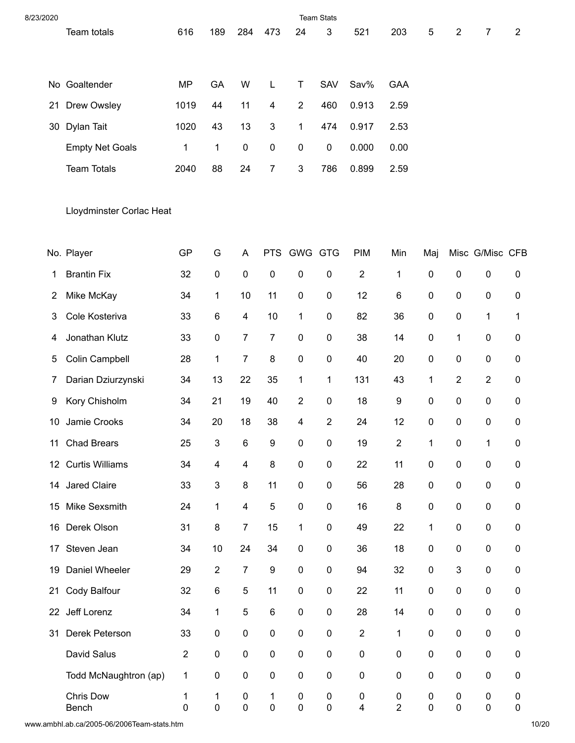| 8/23/2020 |                          |                |                           |                         |                           |                | <b>Team Stats</b>      |                                      |                             |        |                |                 |                |
|-----------|--------------------------|----------------|---------------------------|-------------------------|---------------------------|----------------|------------------------|--------------------------------------|-----------------------------|--------|----------------|-----------------|----------------|
|           | Team totals              | 616            | 189                       | 284                     | 473                       | 24             | 3                      | 521                                  | 203                         | 5      | $\overline{2}$ | $\overline{7}$  | $\overline{2}$ |
|           |                          |                |                           |                         |                           |                |                        |                                      |                             |        |                |                 |                |
|           | No Goaltender            | <b>MP</b>      | GA                        | W                       | L                         | Τ              | <b>SAV</b>             | Sav%                                 | <b>GAA</b>                  |        |                |                 |                |
| 21        | Drew Owsley              | 1019           | 44                        | 11                      | 4                         | $\sqrt{2}$     | 460                    | 0.913                                | 2.59                        |        |                |                 |                |
| 30        | Dylan Tait               | 1020           | 43                        | 13                      | $\ensuremath{\mathsf{3}}$ | $\mathbf{1}$   | 474                    | 0.917                                | 2.53                        |        |                |                 |                |
|           | <b>Empty Net Goals</b>   | $\mathbf 1$    | $\mathbf{1}$              | $\pmb{0}$               | $\pmb{0}$                 | $\pmb{0}$      | $\pmb{0}$              | 0.000                                | 0.00                        |        |                |                 |                |
|           | <b>Team Totals</b>       | 2040           | 88                        | 24                      | 7                         | $\sqrt{3}$     | 786                    | 0.899                                | 2.59                        |        |                |                 |                |
|           | Lloydminster Corlac Heat |                |                           |                         |                           |                |                        |                                      |                             |        |                |                 |                |
|           | No. Player               | GP             | G                         | A                       | <b>PTS</b>                | <b>GWG GTG</b> |                        | <b>PIM</b>                           | Min                         | Maj    |                | Misc G/Misc CFB |                |
| 1         | <b>Brantin Fix</b>       | 32             | $\pmb{0}$                 | $\pmb{0}$               | $\pmb{0}$                 | $\pmb{0}$      | $\pmb{0}$              | $\sqrt{2}$                           | 1                           | 0      | $\pmb{0}$      | $\pmb{0}$       | 0              |
| 2         | Mike McKay               | 34             | 1                         | 10                      | 11                        | $\pmb{0}$      | $\pmb{0}$              | 12                                   | 6                           | 0      | $\pmb{0}$      | $\pmb{0}$       | 0              |
| 3         | Cole Kosteriva           | 33             | $\,6$                     | $\overline{\mathbf{4}}$ | 10                        | $\mathbf{1}$   | $\pmb{0}$              | 82                                   | 36                          | 0      | $\pmb{0}$      | 1               | 1              |
| 4         | Jonathan Klutz           | 33             | $\pmb{0}$                 | $\overline{7}$          | $\overline{7}$            | $\pmb{0}$      | $\pmb{0}$              | 38                                   | 14                          | 0      | $\mathbf{1}$   | 0               | 0              |
| 5         | Colin Campbell           | 28             | $\mathbf{1}$              | $\boldsymbol{7}$        | 8                         | $\pmb{0}$      | $\pmb{0}$              | 40                                   | 20                          | 0      | $\pmb{0}$      | 0               | 0              |
| 7         | Darian Dziurzynski       | 34             | 13                        | 22                      | 35                        | $\mathbf{1}$   | 1                      | 131                                  | 43                          | 1      | $\sqrt{2}$     | $\overline{2}$  | 0              |
| 9         | Kory Chisholm            | 34             | 21                        | 19                      | 40                        | $\sqrt{2}$     | $\pmb{0}$              | 18                                   | 9                           | 0      | $\pmb{0}$      | 0               | 0              |
| 10        | Jamie Crooks             | 34             | 20                        | 18                      | 38                        | 4              | 2                      | 24                                   | 12                          | 0      | $\pmb{0}$      | 0               | 0              |
| 11        | <b>Chad Brears</b>       | 25             | 3                         | $\,6$                   | 9                         | 0              | $\pmb{0}$              | 19                                   | $\overline{\mathbf{c}}$     | 1      | 0              | 1               | 0              |
|           | 12 Curtis Williams       | 34             | 4                         | $\overline{4}$          | $\bf 8$                   | $\pmb{0}$      | $\pmb{0}$              | 22                                   | 11                          | 0      | $\pmb{0}$      | $\mathsf 0$     | $\pmb{0}$      |
| 14        | Jared Claire             | 33             | $\ensuremath{\mathsf{3}}$ | $\bf 8$                 | 11                        | $\pmb{0}$      | $\pmb{0}$              | 56                                   | 28                          | 0      | $\pmb{0}$      | 0               | 0              |
| 15        | Mike Sexsmith            | 24             | $\mathbf{1}$              | $\overline{\mathbf{4}}$ | $\mathbf 5$               | $\pmb{0}$      | $\pmb{0}$              | 16                                   | 8                           | 0      | $\pmb{0}$      | $\pmb{0}$       | $\pmb{0}$      |
| 16        | Derek Olson              | 31             | $\bf 8$                   | $\overline{7}$          | 15                        | $\mathbf{1}$   | $\pmb{0}$              | 49                                   | 22                          | 1      | $\pmb{0}$      | 0               | $\pmb{0}$      |
|           | 17 Steven Jean           | 34             | 10                        | 24                      | 34                        | $\pmb{0}$      | $\pmb{0}$              | 36                                   | 18                          | 0      | $\pmb{0}$      | $\pmb{0}$       | $\pmb{0}$      |
| 19        | Daniel Wheeler           | 29             | $\boldsymbol{2}$          | $\boldsymbol{7}$        | $\boldsymbol{9}$          | $\pmb{0}$      | $\pmb{0}$              | 94                                   | 32                          | 0      | $\sqrt{3}$     | 0               | $\pmb{0}$      |
| 21        | Cody Balfour             | 32             | $\,6\,$                   | $\mathbf 5$             | 11                        | $\pmb{0}$      | $\pmb{0}$              | 22                                   | 11                          | 0      | $\pmb{0}$      | $\pmb{0}$       | $\pmb{0}$      |
|           | 22 Jeff Lorenz           | 34             | $\mathbf{1}$              | $\mathbf 5$             | $\,6\,$                   | $\pmb{0}$      | $\pmb{0}$              | 28                                   | 14                          | 0      | $\pmb{0}$      | 0               | 0              |
| 31        | Derek Peterson           | 33             | $\pmb{0}$                 | $\pmb{0}$               | $\pmb{0}$                 | $\pmb{0}$      | $\pmb{0}$              | $\overline{c}$                       | $\mathbf{1}$                | 0      | $\pmb{0}$      | $\pmb{0}$       | $\pmb{0}$      |
|           | David Salus              | $\overline{2}$ | $\pmb{0}$                 | $\pmb{0}$               | $\pmb{0}$                 | $\pmb{0}$      | $\pmb{0}$              | $\pmb{0}$                            | $\pmb{0}$                   | 0      | $\pmb{0}$      | 0               | 0              |
|           | Todd McNaughtron (ap)    | 1              | $\pmb{0}$                 | $\pmb{0}$               | $\pmb{0}$                 | $\pmb{0}$      | $\pmb{0}$              | $\pmb{0}$                            | $\pmb{0}$                   | 0      | $\pmb{0}$      | $\pmb{0}$       | $\pmb{0}$      |
|           | Chris Dow<br>Bench       | 1<br>0         | 1<br>$\pmb{0}$            | $\pmb{0}$<br>$\pmb{0}$  | 1<br>$\pmb{0}$            | 0<br>$\pmb{0}$ | $\pmb{0}$<br>$\pmb{0}$ | $\pmb{0}$<br>$\overline{\mathbf{4}}$ | $\pmb{0}$<br>$\overline{2}$ | 0<br>0 | 0<br>$\pmb{0}$ | 0<br>0          | 0<br>$\pmb{0}$ |

www.ambhl.ab.ca/2005-06/2006Team-stats.htm 10/20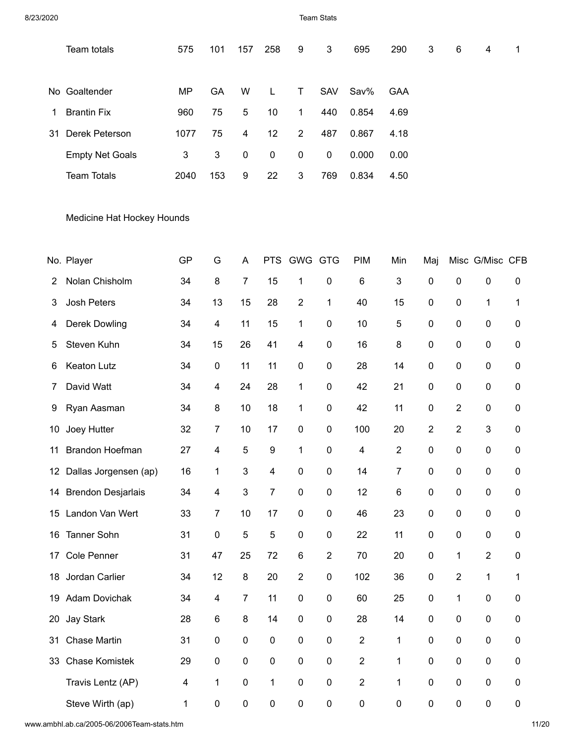8/23/2020 Team Stats

|     | Team totals            | 575  | 101 | 157 | 258         | 9              | 3          | 695   | 290  | 3 | 6 | 4 | $\mathbf 1$ |
|-----|------------------------|------|-----|-----|-------------|----------------|------------|-------|------|---|---|---|-------------|
|     | No Goaltender          | MP   | GA  | W   | L           | T.             | <b>SAV</b> | Sav%  | GAA  |   |   |   |             |
| 1.  | <b>Brantin Fix</b>     | 960  | 75  | 5   | 10          | 1.             | 440        | 0.854 | 4.69 |   |   |   |             |
| -31 | Derek Peterson         | 1077 | 75  | 4   | 12          | $\overline{2}$ | 487        | 0.867 | 4.18 |   |   |   |             |
|     | <b>Empty Net Goals</b> | 3    | 3   | 0   | $\mathbf 0$ | $\mathbf 0$    | 0          | 0.000 | 0.00 |   |   |   |             |
|     | <b>Team Totals</b>     | 2040 | 153 | 9   | 22          | 3              | 769        | 0.834 | 4.50 |   |   |   |             |
|     |                        |      |     |     |             |                |            |       |      |   |   |   |             |

Medicine Hat Hockey Hounds

|                 | No. Player                | GP | G                       | A              | <b>PTS</b>  | <b>GWG GTG</b>          |                | PIM            | Min            | Maj              |                | Misc G/Misc CFB           |                  |
|-----------------|---------------------------|----|-------------------------|----------------|-------------|-------------------------|----------------|----------------|----------------|------------------|----------------|---------------------------|------------------|
| 2               | Nolan Chisholm            | 34 | 8                       | $\overline{7}$ | 15          | 1                       | 0              | 6              | 3              | $\mathbf 0$      | 0              | $\pmb{0}$                 | $\boldsymbol{0}$ |
| 3               | <b>Josh Peters</b>        | 34 | 13                      | 15             | 28          | $\overline{2}$          | 1              | 40             | 15             | $\mathbf 0$      | 0              | 1                         | 1                |
| 4               | <b>Derek Dowling</b>      | 34 | $\overline{4}$          | 11             | 15          | $\mathbf{1}$            | 0              | 10             | 5              | $\mathbf 0$      | 0              | $\pmb{0}$                 | $\mathbf 0$      |
| 5               | Steven Kuhn               | 34 | 15                      | 26             | 41          | $\overline{\mathbf{4}}$ | 0              | 16             | 8              | $\mathbf 0$      | 0              | $\pmb{0}$                 | $\mathbf 0$      |
| 6               | Keaton Lutz               | 34 | $\pmb{0}$               | 11             | 11          | $\mathbf 0$             | 0              | 28             | 14             | $\mathbf 0$      | 0              | $\pmb{0}$                 | $\mathbf 0$      |
| 7               | David Watt                | 34 | $\overline{\mathbf{4}}$ | 24             | 28          | 1                       | 0              | 42             | 21             | $\pmb{0}$        | 0              | $\pmb{0}$                 | $\pmb{0}$        |
| 9               | Ryan Aasman               | 34 | 8                       | 10             | 18          | $\mathbf 1$             | 0              | 42             | 11             | $\mathbf 0$      | 2              | $\mathbf 0$               | $\mathbf{0}$     |
| 10              | Joey Hutter               | 32 | $\overline{7}$          | 10             | 17          | $\pmb{0}$               | 0              | 100            | 20             | $\overline{2}$   | $\overline{2}$ | $\ensuremath{\mathsf{3}}$ | $\pmb{0}$        |
| 11              | <b>Brandon Hoefman</b>    | 27 | $\overline{4}$          | 5              | 9           | $\mathbf{1}$            | 0              | 4              | $\overline{2}$ | $\mathbf 0$      | 0              | $\pmb{0}$                 | $\mathbf 0$      |
| 12 <sup>1</sup> | Dallas Jorgensen (ap)     | 16 | 1                       | 3              | 4           | 0                       | 0              | 14             | 7              | $\pmb{0}$        | 0              | $\pmb{0}$                 | $\mathbf 0$      |
| 14              | <b>Brendon Desjarlais</b> | 34 | $\overline{4}$          | 3              | 7           | $\mathbf 0$             | 0              | 12             | 6              | $\mathbf 0$      | 0              | $\pmb{0}$                 | 0                |
| 15              | Landon Van Wert           | 33 | $\overline{7}$          | 10             | 17          | $\mathbf 0$             | 0              | 46             | 23             | $\mathbf 0$      | 0              | $\pmb{0}$                 | $\mathbf 0$      |
| 16              | <b>Tanner Sohn</b>        | 31 | $\boldsymbol{0}$        | 5              | 5           | 0                       | 0              | 22             | 11             | $\mathbf 0$      | 0              | $\mathbf 0$               | 0                |
| 17              | <b>Cole Penner</b>        | 31 | 47                      | 25             | 72          | 6                       | $\overline{2}$ | 70             | 20             | $\pmb{0}$        | 1              | $\overline{2}$            | $\boldsymbol{0}$ |
| 18              | Jordan Carlier            | 34 | 12                      | 8              | 20          | $\overline{2}$          | 0              | 102            | 36             | $\mathbf 0$      | 2              | 1                         | 1                |
| 19              | <b>Adam Dovichak</b>      | 34 | $\overline{\mathbf{4}}$ | $\overline{7}$ | 11          | $\mathbf 0$             | 0              | 60             | 25             | $\mathbf 0$      | 1              | $\boldsymbol{0}$          | $\mathbf 0$      |
| 20              | <b>Jay Stark</b>          | 28 | $\,6$                   | 8              | 14          | $\mathbf 0$             | 0              | 28             | 14             | $\mathbf 0$      | 0              | $\pmb{0}$                 | 0                |
| 31              | <b>Chase Martin</b>       | 31 | $\pmb{0}$               | 0              | $\mathbf 0$ | $\mathbf 0$             | 0              | $\overline{2}$ | 1              | $\mathbf 0$      | 0              | $\boldsymbol{0}$          | $\mathbf 0$      |
| 33              | <b>Chase Komistek</b>     | 29 | $\mathbf 0$             | $\mathbf 0$    | $\mathbf 0$ | $\overline{0}$          | 0              | $\overline{2}$ | 1              | $\overline{0}$   | 0              | $\mathbf 0$               | $\mathbf 0$      |
|                 | Travis Lentz (AP)         | 4  | 1                       | $\pmb{0}$      | 1           | $\pmb{0}$               | 0              | $\overline{2}$ | 1              | $\boldsymbol{0}$ | 0              | $\pmb{0}$                 | $\mathbf 0$      |
|                 | Steve Wirth (ap)          | 1  | $\mathbf 0$             | 0              | 0           | 0                       | 0              | 0              | $\mathbf 0$    | $\mathbf 0$      | 0              | $\mathbf 0$               | 0                |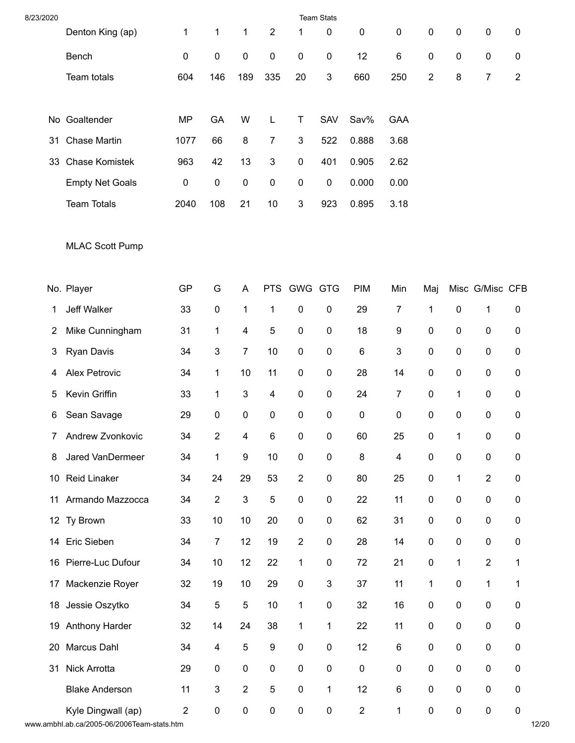| 8/23/2020       |                        |                |                           |                           |                  |                | <b>Team Stats</b> |                |                         |                |              |                 |                |
|-----------------|------------------------|----------------|---------------------------|---------------------------|------------------|----------------|-------------------|----------------|-------------------------|----------------|--------------|-----------------|----------------|
|                 | Denton King (ap)       | 1              | $\mathbf{1}$              | 1                         | $\sqrt{2}$       | 1              | $\pmb{0}$         | $\pmb{0}$      | $\pmb{0}$               | 0              | $\pmb{0}$    | $\pmb{0}$       | 0              |
|                 | Bench                  | 0              | $\pmb{0}$                 | $\pmb{0}$                 | $\pmb{0}$        | $\pmb{0}$      | $\pmb{0}$         | 12             | 6                       | 0              | $\pmb{0}$    | 0               | 0              |
|                 | Team totals            | 604            | 146                       | 189                       | 335              | 20             | 3                 | 660            | 250                     | $\overline{c}$ | 8            | $\overline{7}$  | $\overline{2}$ |
|                 |                        |                |                           |                           |                  |                |                   |                |                         |                |              |                 |                |
|                 | No Goaltender          | <b>MP</b>      | GA                        | W                         | L                | Τ              | SAV               | Sav%           | <b>GAA</b>              |                |              |                 |                |
| 31              | <b>Chase Martin</b>    | 1077           | 66                        | 8                         | $\overline{7}$   | $\mathbf{3}$   | 522               | 0.888          | 3.68                    |                |              |                 |                |
| 33              | <b>Chase Komistek</b>  | 963            | 42                        | 13                        | 3                | $\pmb{0}$      | 401               | 0.905          | 2.62                    |                |              |                 |                |
|                 | <b>Empty Net Goals</b> | 0              | $\pmb{0}$                 | $\pmb{0}$                 | $\pmb{0}$        | $\pmb{0}$      | $\pmb{0}$         | 0.000          | 0.00                    |                |              |                 |                |
|                 | <b>Team Totals</b>     | 2040           | 108                       | 21                        | 10               | 3              | 923               | 0.895          | 3.18                    |                |              |                 |                |
|                 | <b>MLAC Scott Pump</b> |                |                           |                           |                  |                |                   |                |                         |                |              |                 |                |
|                 | No. Player             | <b>GP</b>      | G                         | A                         |                  | PTS GWG GTG    |                   | <b>PIM</b>     | Min                     | Maj            |              | Misc G/Misc CFB |                |
| 1               | <b>Jeff Walker</b>     | 33             | $\pmb{0}$                 | $\mathbf{1}$              | 1                | 0              | $\pmb{0}$         | 29             | 7                       | 1              | $\pmb{0}$    | 1               | $\pmb{0}$      |
| 2               | Mike Cunningham        | 31             | 1                         | 4                         | 5                | $\pmb{0}$      | $\pmb{0}$         | 18             | 9                       | 0              | $\pmb{0}$    | $\pmb{0}$       | 0              |
| 3               | <b>Ryan Davis</b>      | 34             | 3                         | $\overline{7}$            | 10               | $\pmb{0}$      | $\pmb{0}$         | 6              | 3                       | 0              | 0            | 0               | 0              |
| 4               | Alex Petrovic          | 34             | 1                         | 10                        | 11               | $\pmb{0}$      | $\pmb{0}$         | 28             | 14                      | 0              | $\pmb{0}$    | 0               | 0              |
| 5               | Kevin Griffin          | 33             | $\mathbf{1}$              | $\ensuremath{\mathsf{3}}$ | 4                | $\pmb{0}$      | $\pmb{0}$         | 24             | 7                       | 0              | $\mathbf{1}$ | 0               | 0              |
| 6               | Sean Savage            | 29             | 0                         | $\pmb{0}$                 | $\pmb{0}$        | $\pmb{0}$      | $\pmb{0}$         | 0              | 0                       | 0              | $\pmb{0}$    | $\pmb{0}$       | 0              |
|                 | 7 Andrew Zvonkovic     | 34             | $\sqrt{2}$                | 4                         | 6                | 0              | $\pmb{0}$         | 60             | 25                      | $\pmb{0}$      | $\mathbf{1}$ | 0               | 0              |
| 8               | Jared VanDermeer       | 34             | $\mathbf{1}$              | $\boldsymbol{9}$          | 10               | $\pmb{0}$      | $\pmb{0}$         | $\bf 8$        | $\overline{\mathbf{4}}$ | $\pmb{0}$      | $\pmb{0}$    | $\pmb{0}$       | $\pmb{0}$      |
| 10 <sup>°</sup> | <b>Reid Linaker</b>    | 34             | 24                        | 29                        | 53               | $\overline{2}$ | $\pmb{0}$         | 80             | 25                      | 0              | $\mathbf{1}$ | $\overline{2}$  | 0              |
| 11              | Armando Mazzocca       | 34             | $\sqrt{2}$                | $\mathfrak{B}$            | $\sqrt{5}$       | $\pmb{0}$      | $\pmb{0}$         | 22             | 11                      | 0              | $\pmb{0}$    | $\pmb{0}$       | $\pmb{0}$      |
|                 | 12 Ty Brown            | 33             | 10                        | 10                        | 20               | $\pmb{0}$      | $\pmb{0}$         | 62             | 31                      | 0              | $\pmb{0}$    | $\pmb{0}$       | $\pmb{0}$      |
| 14              | Eric Sieben            | 34             | $\boldsymbol{7}$          | 12                        | 19               | $\sqrt{2}$     | $\pmb{0}$         | 28             | 14                      | 0              | $\pmb{0}$    | $\pmb{0}$       | $\pmb{0}$      |
| 16              | Pierre-Luc Dufour      | 34             | 10                        | 12                        | 22               | $\mathbf{1}$   | $\pmb{0}$         | 72             | 21                      | 0              | $\mathbf{1}$ | $\overline{2}$  | 1              |
| 17              | Mackenzie Royer        | 32             | 19                        | 10                        | 29               | $\pmb{0}$      | 3                 | 37             | 11                      | 1              | $\pmb{0}$    | 1               | 1              |
| 18              | Jessie Oszytko         | 34             | 5                         | $\sqrt{5}$                | 10               | $\mathbf{1}$   | $\pmb{0}$         | 32             | 16                      | 0              | $\pmb{0}$    | $\pmb{0}$       | $\pmb{0}$      |
| 19              | Anthony Harder         | 32             | 14                        | 24                        | 38               | $\mathbf{1}$   | $\mathbf{1}$      | 22             | 11                      | 0              | $\pmb{0}$    | 0               | $\pmb{0}$      |
| 20              | Marcus Dahl            | 34             | $\overline{\mathbf{4}}$   | $\mathbf 5$               | $\boldsymbol{9}$ | $\pmb{0}$      | $\pmb{0}$         | 12             | $\,6$                   | 0              | $\pmb{0}$    | $\pmb{0}$       | 0              |
| 31              | Nick Arrotta           | 29             | $\pmb{0}$                 | $\pmb{0}$                 | $\pmb{0}$        | $\pmb{0}$      | $\pmb{0}$         | $\pmb{0}$      | 0                       | 0              | $\pmb{0}$    | $\pmb{0}$       | $\pmb{0}$      |
|                 | <b>Blake Anderson</b>  | 11             | $\ensuremath{\mathsf{3}}$ | $\sqrt{2}$                | 5                | $\pmb{0}$      | 1                 | 12             | 6                       | 0              | $\pmb{0}$    | $\mathsf 0$     | $\pmb{0}$      |
|                 | Kyle Dingwall (ap)     | $\overline{c}$ | $\pmb{0}$                 | $\pmb{0}$                 | $\pmb{0}$        | $\pmb{0}$      | $\pmb{0}$         | $\overline{c}$ | $\mathbf{1}$            | $\pmb{0}$      | $\pmb{0}$    | $\pmb{0}$       | $\pmb{0}$      |

www.ambhl.ab.ca/2005-06/2006Team-stats.htm 12/20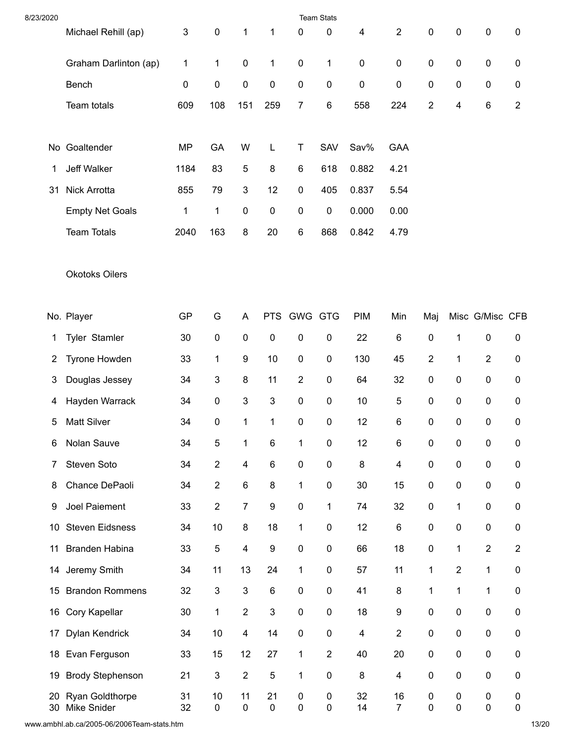| 8/23/2020       |                                |           |                           |                           |                  |                | <b>Team Stats</b> |            |                      |                |                |                  |                |
|-----------------|--------------------------------|-----------|---------------------------|---------------------------|------------------|----------------|-------------------|------------|----------------------|----------------|----------------|------------------|----------------|
|                 | Michael Rehill (ap)            | 3         | $\pmb{0}$                 | $\mathbf{1}$              | 1                | 0              | 0                 | 4          | $\boldsymbol{2}$     | 0              | $\pmb{0}$      | $\mathsf 0$      | 0              |
|                 | Graham Darlinton (ap)          | 1         | 1                         | $\pmb{0}$                 | 1                | $\pmb{0}$      | 1                 | $\pmb{0}$  | $\pmb{0}$            | 0              | $\pmb{0}$      | $\pmb{0}$        | $\pmb{0}$      |
|                 | Bench                          | 0         | $\pmb{0}$                 | $\pmb{0}$                 | $\pmb{0}$        | $\pmb{0}$      | $\pmb{0}$         | 0          | 0                    | 0              | $\pmb{0}$      | $\pmb{0}$        | 0              |
|                 | Team totals                    | 609       | 108                       | 151                       | 259              | $\overline{7}$ | $\,6$             | 558        | 224                  | $\overline{2}$ | 4              | 6                | $\overline{2}$ |
|                 | No Goaltender                  | <b>MP</b> | GA                        | W                         | L                | T              | SAV               | Sav%       | GAA                  |                |                |                  |                |
| 1               | Jeff Walker                    | 1184      | 83                        | 5                         | 8                | 6              | 618               | 0.882      | 4.21                 |                |                |                  |                |
| 31              | Nick Arrotta                   | 855       | 79                        | 3                         | 12               | $\pmb{0}$      | 405               | 0.837      | 5.54                 |                |                |                  |                |
|                 | <b>Empty Net Goals</b>         | 1         | $\mathbf{1}$              | $\pmb{0}$                 | $\pmb{0}$        | $\pmb{0}$      | $\pmb{0}$         | 0.000      | 0.00                 |                |                |                  |                |
|                 | <b>Team Totals</b>             | 2040      | 163                       | 8                         | 20               | $\,6\,$        | 868               | 0.842      | 4.79                 |                |                |                  |                |
|                 | <b>Okotoks Oilers</b>          |           |                           |                           |                  |                |                   |            |                      |                |                |                  |                |
|                 | No. Player                     | GP        | G                         | A                         | <b>PTS</b>       | <b>GWG GTG</b> |                   | <b>PIM</b> | Min                  | Maj            |                | Misc G/Misc CFB  |                |
| 1               | Tyler Stamler                  | 30        | $\pmb{0}$                 | $\pmb{0}$                 | $\pmb{0}$        | $\pmb{0}$      | $\pmb{0}$         | 22         | $\,6$                | 0              | $\mathbf{1}$   | $\pmb{0}$        | 0              |
| 2               | Tyrone Howden                  | 33        | 1                         | 9                         | 10               | $\pmb{0}$      | $\pmb{0}$         | 130        | 45                   | $\overline{c}$ | 1              | $\overline{2}$   | 0              |
| 3               | Douglas Jessey                 | 34        | $\ensuremath{\mathsf{3}}$ | $\bf 8$                   | 11               | $\overline{2}$ | $\pmb{0}$         | 64         | 32                   | 0              | $\pmb{0}$      | $\pmb{0}$        | 0              |
| 4               | Hayden Warrack                 | 34        | $\pmb{0}$                 | $\sqrt{3}$                | $\sqrt{3}$       | $\pmb{0}$      | $\pmb{0}$         | 10         | 5                    | 0              | $\pmb{0}$      | $\pmb{0}$        | $\pmb{0}$      |
| 5               | <b>Matt Silver</b>             | 34        | $\pmb{0}$                 | $\mathbf 1$               | 1                | $\pmb{0}$      | $\pmb{0}$         | 12         | 6                    | 0              | $\mathbf 0$    | $\pmb{0}$        | 0              |
| 6               | Nolan Sauve                    | 34        | 5                         | 1                         | 6                | 1              | 0                 | 12         | 6                    | 0              | 0              | 0                | 0              |
| 7               | Steven Soto                    | 34        | $\overline{2}$            | $\overline{\mathbf{4}}$   | $\,6\,$          | $\pmb{0}$      | $\pmb{0}$         | 8          | 4                    | 0              | $\pmb{0}$      | $\pmb{0}$        | 0              |
| 8               | Chance DePaoli                 | 34        | $\boldsymbol{2}$          | $\,6\,$                   | $\bf 8$          | $\mathbf 1$    | $\pmb{0}$         | 30         | 15                   | 0              | $\pmb{0}$      | $\pmb{0}$        | $\pmb{0}$      |
| 9               | Joel Paiement                  | 33        | $\boldsymbol{2}$          | $\boldsymbol{7}$          | $\boldsymbol{9}$ | $\pmb{0}$      | 1                 | 74         | 32                   | 0              | 1              | $\pmb{0}$        | 0              |
| 10 <sup>°</sup> | <b>Steven Eidsness</b>         | 34        | 10                        | $\bf 8$                   | 18               | 1              | $\pmb{0}$         | 12         | $\,6$                | 0              | $\pmb{0}$      | $\pmb{0}$        | 0              |
| 11              | <b>Branden Habina</b>          | 33        | 5                         | $\overline{\mathbf{4}}$   | $\boldsymbol{9}$ | $\pmb{0}$      | $\pmb{0}$         | 66         | 18                   | 0              | $\mathbf{1}$   | $\boldsymbol{2}$ | $\overline{2}$ |
| 14              | Jeremy Smith                   | 34        | 11                        | 13                        | 24               | $\mathbf{1}$   | $\pmb{0}$         | 57         | 11                   | $\mathbf{1}$   | $\overline{2}$ | $\mathbf{1}$     | $\pmb{0}$      |
| 15              | <b>Brandon Rommens</b>         | 32        | 3                         | $\ensuremath{\mathsf{3}}$ | $\,6$            | $\pmb{0}$      | $\pmb{0}$         | 41         | $\bf 8$              | 1              | 1              | 1                | 0              |
| 16              | Cory Kapellar                  | 30        | 1                         | $\boldsymbol{2}$          | 3                | $\pmb{0}$      | $\pmb{0}$         | 18         | 9                    | 0              | $\pmb{0}$      | $\pmb{0}$        | 0              |
| 17              | Dylan Kendrick                 | 34        | 10                        | $\overline{\mathbf{4}}$   | 14               | $\pmb{0}$      | $\pmb{0}$         | 4          | $\overline{2}$       | 0              | $\pmb{0}$      | $\pmb{0}$        | 0              |
| 18              | Evan Ferguson                  | 33        | 15                        | 12                        | 27               | $\mathbf{1}$   | $\overline{2}$    | 40         | 20                   | 0              | $\pmb{0}$      | $\pmb{0}$        | $\pmb{0}$      |
| 19              | <b>Brody Stephenson</b>        | 21        | 3                         | $\sqrt{2}$                | 5                | 1              | $\pmb{0}$         | 8          | 4                    | 0              | $\pmb{0}$      | $\pmb{0}$        | 0              |
| 20<br>30        | Ryan Goldthorpe<br>Mike Snider | 31<br>32  | 10<br>$\pmb{0}$           | 11<br>$\pmb{0}$           | 21<br>$\pmb{0}$  | 0<br>$\pmb{0}$ | 0<br>$\pmb{0}$    | 32<br>14   | 16<br>$\overline{7}$ | 0<br>$\pmb{0}$ | 0<br>$\pmb{0}$ | 0<br>$\pmb{0}$   | 0<br>$\pmb{0}$ |

www.ambhl.ab.ca/2005-06/2006Team-stats.htm 13/20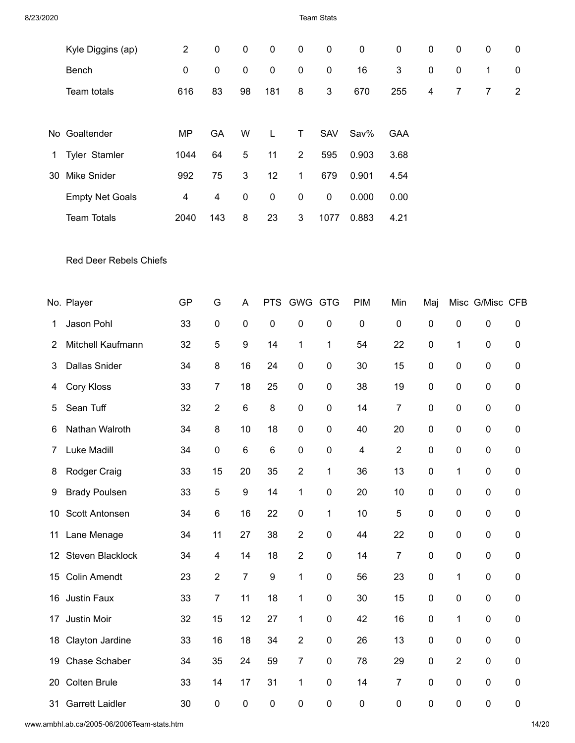| 8/23/2020 |                               |                |                         |                           |                  |                | <b>Team Stats</b> |                         |                  |                         |                  |                 |                  |
|-----------|-------------------------------|----------------|-------------------------|---------------------------|------------------|----------------|-------------------|-------------------------|------------------|-------------------------|------------------|-----------------|------------------|
|           | Kyle Diggins (ap)             | $\overline{2}$ | $\pmb{0}$               | $\pmb{0}$                 | $\pmb{0}$        | $\pmb{0}$      | $\pmb{0}$         | $\pmb{0}$               | $\pmb{0}$        | 0                       | $\pmb{0}$        | $\pmb{0}$       | $\boldsymbol{0}$ |
|           | Bench                         | $\pmb{0}$      | $\pmb{0}$               | $\pmb{0}$                 | $\pmb{0}$        | $\pmb{0}$      | $\pmb{0}$         | 16                      | 3                | 0                       | $\pmb{0}$        | $\mathbf{1}$    | $\boldsymbol{0}$ |
|           | Team totals                   | 616            | 83                      | 98                        | 181              | 8              | 3                 | 670                     | 255              | $\overline{\mathbf{4}}$ | $\boldsymbol{7}$ | 7               | $\overline{2}$   |
|           |                               |                |                         |                           |                  |                |                   |                         |                  |                         |                  |                 |                  |
|           | No Goaltender                 | <b>MP</b>      | GA                      | W                         | L                | T              | <b>SAV</b>        | Sav%                    | <b>GAA</b>       |                         |                  |                 |                  |
| 1         | Tyler Stamler                 | 1044           | 64                      | 5                         | 11               | $\overline{2}$ | 595               | 0.903                   | 3.68             |                         |                  |                 |                  |
| 30        | Mike Snider                   | 992            | 75                      | $\ensuremath{\mathsf{3}}$ | 12               | $\mathbf{1}$   | 679               | 0.901                   | 4.54             |                         |                  |                 |                  |
|           | <b>Empty Net Goals</b>        | 4              | 4                       | $\pmb{0}$                 | $\pmb{0}$        | $\pmb{0}$      | 0                 | 0.000                   | 0.00             |                         |                  |                 |                  |
|           | <b>Team Totals</b>            | 2040           | 143                     | 8                         | 23               | 3              | 1077              | 0.883                   | 4.21             |                         |                  |                 |                  |
|           | <b>Red Deer Rebels Chiefs</b> |                |                         |                           |                  |                |                   |                         |                  |                         |                  |                 |                  |
|           | No. Player                    | GP             | G                       | A                         | <b>PTS</b>       | GWG GTG        |                   | PIM                     | Min              | Maj                     |                  | Misc G/Misc CFB |                  |
| 1         | Jason Pohl                    | 33             | $\pmb{0}$               | $\pmb{0}$                 | $\pmb{0}$        | $\pmb{0}$      | $\pmb{0}$         | $\pmb{0}$               | $\pmb{0}$        | 0                       | $\pmb{0}$        | $\pmb{0}$       | $\pmb{0}$        |
| 2         | Mitchell Kaufmann             | 32             | $\mathbf 5$             | 9                         | 14               | 1              | $\mathbf{1}$      | 54                      | 22               | 0                       | $\mathbf{1}$     | 0               | 0                |
| 3         | <b>Dallas Snider</b>          | 34             | $\bf 8$                 | 16                        | 24               | 0              | $\pmb{0}$         | 30                      | 15               | 0                       | $\pmb{0}$        | 0               | 0                |
| 4         | Cory Kloss                    | 33             | $\overline{7}$          | 18                        | 25               | $\pmb{0}$      | $\pmb{0}$         | 38                      | 19               | 0                       | $\pmb{0}$        | $\pmb{0}$       | 0                |
| 5         | Sean Tuff                     | 32             | $\boldsymbol{2}$        | 6                         | 8                | 0              | $\pmb{0}$         | 14                      | 7                | 0                       | 0                | 0               | 0                |
| 6         | Nathan Walroth                | 34             | $\bf 8$                 | 10                        | 18               | $\pmb{0}$      | $\mathbf 0$       | 40                      | 20               | $\mathbf 0$             | $\pmb{0}$        | 0               | 0                |
| 7         | Luke Madill                   | 34             | $\pmb{0}$               | $\,6$                     | $\,6$            | $\pmb{0}$      | $\pmb{0}$         | $\overline{\mathbf{4}}$ | $\boldsymbol{2}$ | $\pmb{0}$               | $\pmb{0}$        | $\pmb{0}$       | 0                |
| 8         | Rodger Craig                  | 33             | 15                      | 20                        | 35               | $\overline{2}$ | $\mathbf{1}$      | 36                      | 13               | 0                       | $\mathbf{1}$     | $\pmb{0}$       | 0                |
| 9         | <b>Brady Poulsen</b>          | 33             | $\sqrt{5}$              | $\boldsymbol{9}$          | 14               | $\mathbf{1}$   | $\pmb{0}$         | 20                      | 10               | 0                       | $\pmb{0}$        | $\pmb{0}$       | 0                |
| 10        | Scott Antonsen                | 34             | $\,6\,$                 | 16                        | 22               | 0              | $\mathbf 1$       | 10                      | $\mathbf 5$      | $\pmb{0}$               | $\pmb{0}$        | 0               | 0                |
| 11        | Lane Menage                   | 34             | 11                      | 27                        | 38               | $\overline{c}$ | $\pmb{0}$         | 44                      | 22               | 0                       | $\pmb{0}$        | 0               | 0                |
|           | 12 Steven Blacklock           | 34             | $\overline{\mathbf{4}}$ | 14                        | 18               | $\overline{2}$ | $\pmb{0}$         | 14                      | $\overline{7}$   | 0                       | $\pmb{0}$        | 0               | 0                |
| 15        | <b>Colin Amendt</b>           | 23             | $\sqrt{2}$              | $\overline{7}$            | $\boldsymbol{9}$ | $\mathbf{1}$   | $\pmb{0}$         | 56                      | 23               | $\pmb{0}$               | $\mathbf{1}$     | $\pmb{0}$       | 0                |
| 16        | Justin Faux                   | 33             | $\overline{7}$          | 11                        | 18               | $\mathbf{1}$   | $\pmb{0}$         | 30                      | 15               | 0                       | $\pmb{0}$        | 0               | 0                |
| 17        | Justin Moir                   | 32             | 15                      | 12                        | 27               | $\mathbf{1}$   | $\pmb{0}$         | 42                      | 16               | 0                       | $\mathbf{1}$     | $\pmb{0}$       | 0                |
| 18        | Clayton Jardine               | 33             | 16                      | 18                        | 34               | $\overline{2}$ | $\pmb{0}$         | 26                      | 13               | 0                       | $\pmb{0}$        | $\pmb{0}$       | 0                |
| 19        | Chase Schaber                 | 34             | 35                      | 24                        | 59               | $\overline{7}$ | $\pmb{0}$         | 78                      | 29               | 0                       | $\overline{2}$   | $\pmb{0}$       | 0                |
| 20        | <b>Colten Brule</b>           | 33             | 14                      | 17                        | 31               | $\mathbf{1}$   | $\pmb{0}$         | 14                      | 7                | 0                       | $\pmb{0}$        | 0               | 0                |
| 31        | <b>Garrett Laidler</b>        | $30\,$         | $\pmb{0}$               | $\pmb{0}$                 | $\pmb{0}$        | $\pmb{0}$      | $\pmb{0}$         | $\pmb{0}$               | $\pmb{0}$        | $\pmb{0}$               | $\pmb{0}$        | $\pmb{0}$       | 0                |

www.ambhl.ab.ca/2005-06/2006Team-stats.htm 14/20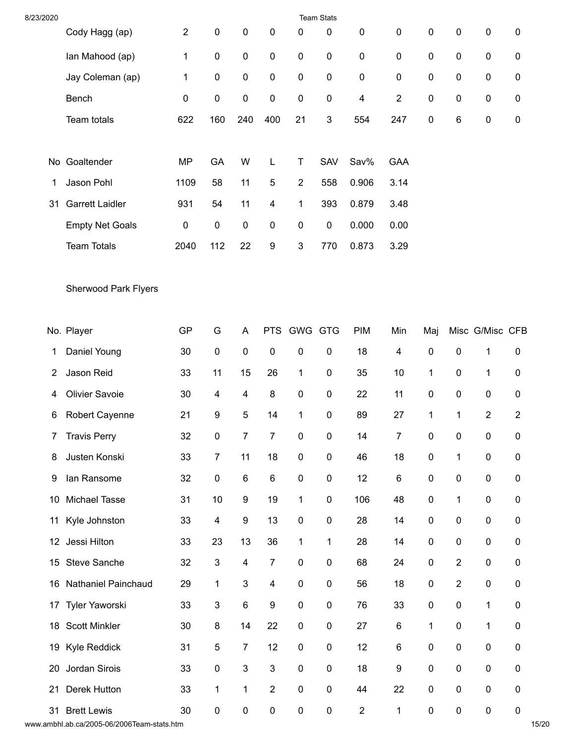| 8/23/2020       |                             |                |                  |                           |                  |                | <b>Team Stats</b> |                |                  |              |                  |                 |                |
|-----------------|-----------------------------|----------------|------------------|---------------------------|------------------|----------------|-------------------|----------------|------------------|--------------|------------------|-----------------|----------------|
|                 | Cody Hagg (ap)              | $\overline{2}$ | $\pmb{0}$        | $\pmb{0}$                 | $\pmb{0}$        | 0              | $\pmb{0}$         | $\pmb{0}$      | $\pmb{0}$        | 0            | $\pmb{0}$        | $\pmb{0}$       | 0              |
|                 | lan Mahood (ap)             | 1              | $\pmb{0}$        | $\pmb{0}$                 | $\pmb{0}$        | $\pmb{0}$      | $\pmb{0}$         | $\pmb{0}$      | $\pmb{0}$        | 0            | $\pmb{0}$        | $\pmb{0}$       | 0              |
|                 | Jay Coleman (ap)            | 1              | 0                | $\pmb{0}$                 | $\pmb{0}$        | $\pmb{0}$      | $\pmb{0}$         | $\pmb{0}$      | 0                | 0            | $\pmb{0}$        | $\pmb{0}$       | 0              |
|                 | Bench                       | 0              | $\pmb{0}$        | $\pmb{0}$                 | $\pmb{0}$        | $\pmb{0}$      | $\pmb{0}$         | 4              | $\overline{2}$   | 0            | $\pmb{0}$        | $\pmb{0}$       | 0              |
|                 | Team totals                 | 622            | 160              | 240                       | 400              | 21             | 3                 | 554            | 247              | $\pmb{0}$    | $\,6\,$          | $\pmb{0}$       | $\pmb{0}$      |
|                 |                             |                |                  |                           |                  |                |                   |                |                  |              |                  |                 |                |
|                 | No Goaltender               | <b>MP</b>      | GA               | W                         | L                | T              | SAV               | Sav%           | <b>GAA</b>       |              |                  |                 |                |
| 1               | Jason Pohl                  | 1109           | 58               | 11                        | 5                | $\overline{2}$ | 558               | 0.906          | 3.14             |              |                  |                 |                |
| 31              | <b>Garrett Laidler</b>      | 931            | 54               | 11                        | 4                | $\mathbf{1}$   | 393               | 0.879          | 3.48             |              |                  |                 |                |
|                 | <b>Empty Net Goals</b>      | 0              | $\pmb{0}$        | $\pmb{0}$                 | $\pmb{0}$        | $\pmb{0}$      | $\pmb{0}$         | 0.000          | 0.00             |              |                  |                 |                |
|                 | <b>Team Totals</b>          | 2040           | 112              | 22                        | $\boldsymbol{9}$ | $\mathbf{3}$   | 770               | 0.873          | 3.29             |              |                  |                 |                |
|                 |                             |                |                  |                           |                  |                |                   |                |                  |              |                  |                 |                |
|                 | <b>Sherwood Park Flyers</b> |                |                  |                           |                  |                |                   |                |                  |              |                  |                 |                |
|                 |                             |                |                  |                           |                  |                |                   |                |                  |              |                  |                 |                |
|                 | No. Player                  | GP             | G                | A                         | <b>PTS</b>       | GWG GTG        |                   | <b>PIM</b>     | Min              | Maj          |                  | Misc G/Misc CFB |                |
| 1               | Daniel Young                | 30             | $\pmb{0}$        | $\pmb{0}$                 | $\pmb{0}$        | $\pmb{0}$      | $\pmb{0}$         | 18             | 4                | 0            | $\pmb{0}$        | $\mathbf 1$     | 0              |
| $\overline{2}$  | Jason Reid                  | 33             | 11               | 15                        | 26               | $\mathbf{1}$   | $\pmb{0}$         | 35             | 10               | 1            | $\pmb{0}$        | 1               | $\pmb{0}$      |
| 4               | <b>Olivier Savoie</b>       | 30             | 4                | $\overline{\mathbf{4}}$   | $\bf 8$          | $\pmb{0}$      | $\pmb{0}$         | 22             | 11               | 0            | $\pmb{0}$        | $\pmb{0}$       | 0              |
| 6               | <b>Robert Cayenne</b>       | 21             | 9                | $\mathbf 5$               | 14               | $\mathbf{1}$   | $\pmb{0}$         | 89             | 27               | 1            | $\mathbf 1$      | $\overline{2}$  | $\overline{c}$ |
|                 | 7 Travis Perry              | 32             | $\pmb{0}$        | $\overline{7}$            | $\overline{7}$   | $\pmb{0}$      | $\pmb{0}$         | 14             | $\boldsymbol{7}$ | $\pmb{0}$    | $\pmb{0}$        | $\pmb{0}$       | $\pmb{0}$      |
| 8               | Justen Konski               | 33             | $\boldsymbol{7}$ | 11                        | 18               | $\pmb{0}$      | $\pmb{0}$         | 46             | 18               | 0            | $\mathbf{1}$     | $\mathbf 0$     | $\pmb{0}$      |
| 9               | lan Ransome                 | 32             | $\pmb{0}$        | $\,6\,$                   | $\,6$            | $\pmb{0}$      | $\pmb{0}$         | 12             | $\,6\,$          | 0            | $\pmb{0}$        | $\pmb{0}$       | 0              |
| 10              | Michael Tasse               | 31             | 10               | $\boldsymbol{9}$          | 19               | $\mathbf{1}$   | $\pmb{0}$         | 106            | 48               | 0            | 1                | $\pmb{0}$       | 0              |
| 11              | Kyle Johnston               | 33             | 4                | $\boldsymbol{9}$          | 13               | $\pmb{0}$      | $\pmb{0}$         | 28             | 14               | 0            | $\pmb{0}$        | $\pmb{0}$       | $\pmb{0}$      |
| 12 <sup>2</sup> | Jessi Hilton                | 33             | 23               | 13                        | 36               | $\mathbf{1}$   | 1                 | 28             | 14               | 0            | $\pmb{0}$        | $\pmb{0}$       | $\pmb{0}$      |
| 15              | Steve Sanche                | 32             | 3                | $\overline{\mathbf{4}}$   | $\boldsymbol{7}$ | $\pmb{0}$      | $\pmb{0}$         | 68             | 24               | 0            | $\boldsymbol{2}$ | $\pmb{0}$       | 0              |
| 16              | Nathaniel Painchaud         | 29             | $\mathbf{1}$     | $\ensuremath{\mathsf{3}}$ | 4                | $\pmb{0}$      | $\pmb{0}$         | 56             | 18               | 0            | $\boldsymbol{2}$ | $\pmb{0}$       | $\pmb{0}$      |
| 17 <sub>1</sub> | <b>Tyler Yaworski</b>       | 33             | 3                | $\,6\,$                   | $\boldsymbol{9}$ | $\pmb{0}$      | $\pmb{0}$         | 76             | 33               | 0            | $\pmb{0}$        | 1               | $\pmb{0}$      |
| 18              | <b>Scott Minkler</b>        | 30             | $\bf 8$          | 14                        | 22               | $\pmb{0}$      | $\pmb{0}$         | 27             | 6                | $\mathbf{1}$ | $\pmb{0}$        | 1               | $\pmb{0}$      |
| 19              | Kyle Reddick                | 31             | 5                | $\boldsymbol{7}$          | 12               | $\pmb{0}$      | $\pmb{0}$         | 12             | 6                | 0            | $\pmb{0}$        | $\pmb{0}$       | 0              |
| 20              | Jordan Sirois               | 33             | $\pmb{0}$        | $\ensuremath{\mathsf{3}}$ | $\mathfrak{S}$   | $\pmb{0}$      | $\pmb{0}$         | 18             | 9                | 0            | $\pmb{0}$        | $\pmb{0}$       | 0              |
| 21              | Derek Hutton                | 33             | $\mathbf{1}$     | $\mathbf{1}$              | $\overline{2}$   | $\pmb{0}$      | $\pmb{0}$         | 44             | 22               | 0            | $\pmb{0}$        | $\mathsf 0$     | $\pmb{0}$      |
| 31              | <b>Brett Lewis</b>          | 30             | $\pmb{0}$        | $\pmb{0}$                 | $\pmb{0}$        | $\pmb{0}$      | $\pmb{0}$         | $\overline{c}$ | $\mathbf{1}$     | $\pmb{0}$    | $\pmb{0}$        | 0               | $\pmb{0}$      |

www.ambhl.ab.ca/2005-06/2006Team-stats.htm 15/20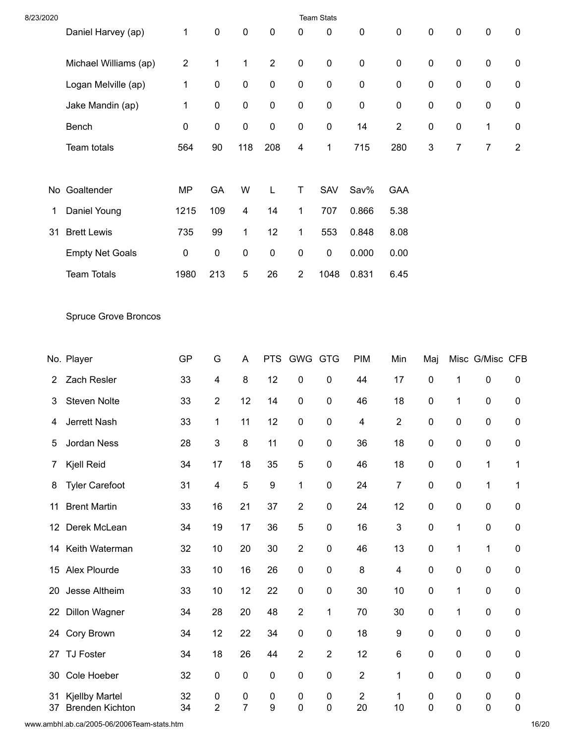| 8/23/2020 |                                                 |                  |                             |                             |                                      |                         | <b>Team Stats</b>      |                          |                         |           |                        |                 |                |
|-----------|-------------------------------------------------|------------------|-----------------------------|-----------------------------|--------------------------------------|-------------------------|------------------------|--------------------------|-------------------------|-----------|------------------------|-----------------|----------------|
|           | Daniel Harvey (ap)                              | $\mathbf{1}$     | $\pmb{0}$                   | $\pmb{0}$                   | $\pmb{0}$                            | 0                       | $\pmb{0}$              | $\pmb{0}$                | $\pmb{0}$               | $\pmb{0}$ | $\pmb{0}$              | $\pmb{0}$       | 0              |
|           | Michael Williams (ap)                           | $\overline{2}$   | 1                           | $\mathbf{1}$                | $\overline{2}$                       | $\pmb{0}$               | $\pmb{0}$              | $\pmb{0}$                | $\pmb{0}$               | 0         | $\pmb{0}$              | $\pmb{0}$       | 0              |
|           | Logan Melville (ap)                             | $\mathbf 1$      | $\pmb{0}$                   | $\pmb{0}$                   | $\pmb{0}$                            | $\pmb{0}$               | $\pmb{0}$              | $\pmb{0}$                | $\pmb{0}$               | 0         | $\pmb{0}$              | $\pmb{0}$       | 0              |
|           | Jake Mandin (ap)                                | 1                | $\pmb{0}$                   | $\pmb{0}$                   | $\pmb{0}$                            | $\pmb{0}$               | $\pmb{0}$              | $\pmb{0}$                | $\pmb{0}$               | 0         | $\pmb{0}$              | $\pmb{0}$       | $\pmb{0}$      |
|           | Bench                                           | $\boldsymbol{0}$ | $\pmb{0}$                   | $\pmb{0}$                   | $\pmb{0}$                            | $\pmb{0}$               | $\pmb{0}$              | 14                       | $\overline{c}$          | 0         | $\pmb{0}$              | 1               | 0              |
|           | Team totals                                     | 564              | 90                          | 118                         | 208                                  | $\overline{\mathbf{4}}$ | 1                      | 715                      | 280                     | 3         | $\boldsymbol{7}$       | $\overline{7}$  | $\overline{2}$ |
|           | No Goaltender                                   | <b>MP</b>        | GA                          | W                           | L                                    | T                       | SAV                    | Sav%                     | <b>GAA</b>              |           |                        |                 |                |
| 1         | Daniel Young                                    | 1215             | 109                         | $\overline{\mathbf{4}}$     | 14                                   | $\mathbf{1}$            | 707                    | 0.866                    | 5.38                    |           |                        |                 |                |
| 31        | <b>Brett Lewis</b>                              | 735              | 99                          | $\mathbf{1}$                | 12                                   | $\mathbf{1}$            | 553                    | 0.848                    | 8.08                    |           |                        |                 |                |
|           | <b>Empty Net Goals</b>                          | 0                | $\pmb{0}$                   | $\pmb{0}$                   | $\pmb{0}$                            | $\pmb{0}$               | $\pmb{0}$              | 0.000                    | 0.00                    |           |                        |                 |                |
|           | <b>Team Totals</b>                              | 1980             | 213                         | $\sqrt{5}$                  | 26                                   | $\overline{2}$          | 1048                   | 0.831                    | 6.45                    |           |                        |                 |                |
|           | <b>Spruce Grove Broncos</b>                     |                  |                             |                             |                                      |                         |                        |                          |                         |           |                        |                 |                |
|           | No. Player                                      | GP               | G                           | A                           | <b>PTS</b>                           | GWG GTG                 |                        | <b>PIM</b>               | Min                     | Maj       |                        | Misc G/Misc CFB |                |
| 2         | Zach Resler                                     | 33               | 4                           | 8                           | 12                                   | $\pmb{0}$               | $\pmb{0}$              | 44                       | 17                      | $\pmb{0}$ | 1                      | 0               | 0              |
| 3         | <b>Steven Nolte</b>                             | 33               | $\sqrt{2}$                  | 12                          | 14                                   | $\pmb{0}$               | $\pmb{0}$              | 46                       | 18                      | 0         | $\mathbf{1}$           | $\pmb{0}$       | 0              |
| 4         | Jerrett Nash                                    | 33               | $\mathbf{1}$                | 11                          | 12                                   | $\pmb{0}$               | $\pmb{0}$              | $\overline{\mathcal{A}}$ | $\overline{2}$          | $\pmb{0}$ | $\pmb{0}$              | 0               | $\pmb{0}$      |
| 5         | Jordan Ness                                     | 28               | 3                           | 8                           | 11                                   | 0                       | $\pmb{0}$              | 36                       | 18                      | 0         | 0                      | 0               | 0              |
| 7         | Kjell Reid                                      | 34               | 17                          | 18                          | 35                                   | $\mathbf 5$             | $\pmb{0}$              | 46                       | 18                      | 0         | $\pmb{0}$              | 1               | 1              |
| 8         | <b>Tyler Carefoot</b>                           | 31               | 4                           | $\mathbf 5$                 | $\boldsymbol{9}$                     | $\mathbf{1}$            | $\pmb{0}$              | 24                       | 7                       | 0         | $\pmb{0}$              | $\mathbf{1}$    | 1              |
| 11        | <b>Brent Martin</b>                             | 33               | 16                          | 21                          | 37                                   | $\overline{2}$          | $\pmb{0}$              | 24                       | 12                      | 0         | $\pmb{0}$              | 0               | $\pmb{0}$      |
| 12        | Derek McLean                                    | 34               | 19                          | 17                          | 36                                   | $\mathbf 5$             | $\pmb{0}$              | 16                       | 3                       | 0         | $\mathbf{1}$           | $\pmb{0}$       | 0              |
|           | 14 Keith Waterman                               | 32               | 10                          | 20                          | 30                                   | $\sqrt{2}$              | $\pmb{0}$              | 46                       | 13                      | 0         | $\mathbf 1$            | 1               | 0              |
|           | 15 Alex Plourde                                 | 33               | 10                          | 16                          | 26                                   | $\pmb{0}$               | $\pmb{0}$              | 8                        | $\overline{\mathbf{4}}$ | 0         | $\pmb{0}$              | $\pmb{0}$       | 0              |
| 20        | Jesse Altheim                                   | 33               | 10                          | 12                          | 22                                   | $\pmb{0}$               | $\pmb{0}$              | 30                       | 10                      | 0         | $\mathbf{1}$           | 0               | $\pmb{0}$      |
| 22        | <b>Dillon Wagner</b>                            | 34               | 28                          | 20                          | 48                                   | $\boldsymbol{2}$        | $\mathbf{1}$           | 70                       | 30                      | 0         | $\mathbf{1}$           | $\pmb{0}$       | $\pmb{0}$      |
| 24        | Cory Brown                                      | 34               | 12                          | 22                          | 34                                   | $\pmb{0}$               | $\pmb{0}$              | 18                       | 9                       | 0         | $\pmb{0}$              | 0               | 0              |
|           | 27 TJ Foster                                    | 34               | 18                          | 26                          | 44                                   | $\overline{2}$          | $\overline{2}$         | 12                       | 6                       | 0         | $\pmb{0}$              | $\pmb{0}$       | 0              |
| 30        | Cole Hoeber                                     | 32               | $\pmb{0}$                   | $\pmb{0}$                   | $\pmb{0}$                            | $\pmb{0}$               | $\pmb{0}$              | $\sqrt{2}$               | 1                       | 0         | $\pmb{0}$              | 0               | $\pmb{0}$      |
| 31<br>37  | <b>Kjellby Martel</b><br><b>Brenden Kichton</b> | 32<br>34         | $\pmb{0}$<br>$\overline{2}$ | $\pmb{0}$<br>$\overline{7}$ | $\boldsymbol{0}$<br>$\boldsymbol{9}$ | $\pmb{0}$<br>$\pmb{0}$  | $\pmb{0}$<br>$\pmb{0}$ | $\boldsymbol{2}$<br>20   | $\mathbf 1$<br>10       | 0<br>0    | $\pmb{0}$<br>$\pmb{0}$ | 0<br>0          | 0<br>$\pmb{0}$ |

www.ambhl.ab.ca/2005-06/2006Team-stats.htm 16/20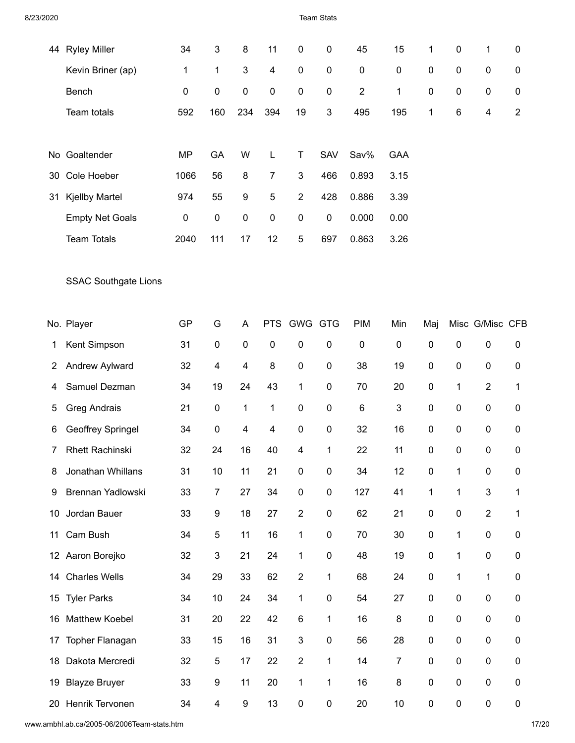Team Stats

| 44 | <b>Ryley Miller</b>         | 34           | 3                       | 8                         | 11                      | 0              | 0                | 45             | 15             | 1                | 0                | 1               | 0              |
|----|-----------------------------|--------------|-------------------------|---------------------------|-------------------------|----------------|------------------|----------------|----------------|------------------|------------------|-----------------|----------------|
|    | Kevin Briner (ap)           | $\mathbf{1}$ | $\mathbf{1}$            | $\ensuremath{\mathsf{3}}$ | $\overline{\mathbf{4}}$ | $\pmb{0}$      | $\pmb{0}$        | 0              | $\pmb{0}$      | $\pmb{0}$        | 0                | $\pmb{0}$       | 0              |
|    | Bench                       | 0            | 0                       | $\pmb{0}$                 | 0                       | 0              | $\boldsymbol{0}$ | $\overline{2}$ | 1              | 0                | 0                | 0               | 0              |
|    | Team totals                 | 592          | 160                     | 234                       | 394                     | 19             | 3                | 495            | 195            | 1                | 6                | 4               | $\overline{2}$ |
|    |                             |              |                         |                           |                         |                |                  |                |                |                  |                  |                 |                |
| No | Goaltender                  | <b>MP</b>    | GA                      | W                         | L                       | Τ              | SAV              | Sav%           | <b>GAA</b>     |                  |                  |                 |                |
| 30 | Cole Hoeber                 | 1066         | 56                      | 8                         | $\overline{7}$          | 3              | 466              | 0.893          | 3.15           |                  |                  |                 |                |
| 31 | <b>Kjellby Martel</b>       | 974          | 55                      | 9                         | 5                       | $\overline{2}$ | 428              | 0.886          | 3.39           |                  |                  |                 |                |
|    | <b>Empty Net Goals</b>      | $\pmb{0}$    | 0                       | $\pmb{0}$                 | 0                       | $\pmb{0}$      | $\boldsymbol{0}$ | 0.000          | 0.00           |                  |                  |                 |                |
|    | <b>Team Totals</b>          | 2040         | 111                     | 17                        | 12                      | 5              | 697              | 0.863          | 3.26           |                  |                  |                 |                |
|    |                             |              |                         |                           |                         |                |                  |                |                |                  |                  |                 |                |
|    | <b>SSAC Southgate Lions</b> |              |                         |                           |                         |                |                  |                |                |                  |                  |                 |                |
|    |                             |              |                         |                           |                         |                |                  |                |                |                  |                  |                 |                |
|    | No. Player                  | <b>GP</b>    | G                       | Α                         |                         | PTS GWG        | <b>GTG</b>       | <b>PIM</b>     | Min            | Maj              |                  | Misc G/Misc CFB |                |
| 1  | Kent Simpson                | 31           | $\pmb{0}$               | $\pmb{0}$                 | 0                       | 0              | 0                | $\pmb{0}$      | $\pmb{0}$      | $\pmb{0}$        | $\boldsymbol{0}$ | 0               | 0              |
| 2  | Andrew Aylward              | 32           | 4                       | 4                         | 8                       | $\pmb{0}$      | $\pmb{0}$        | 38             | 19             | $\pmb{0}$        | 0                | $\pmb{0}$       | 0              |
| 4  | Samuel Dezman               | 34           | 19                      | 24                        | 43                      | 1              | $\pmb{0}$        | 70             | 20             | 0                | 1                | $\overline{2}$  | 1              |
| 5  | <b>Greg Andrais</b>         | 21           | $\pmb{0}$               | 1                         | 1                       | $\pmb{0}$      | $\pmb{0}$        | 6              | 3              | $\pmb{0}$        | 0                | $\pmb{0}$       | 0              |
| 6  | Geoffrey Springel           | 34           | 0                       | 4                         | 4                       | $\pmb{0}$      | $\pmb{0}$        | 32             | 16             | 0                | 0                | 0               | 0              |
| 7  | <b>Rhett Rachinski</b>      | 32           | 24                      | 16                        | 40                      | 4              | 1                | 22             | 11             | $\pmb{0}$        | 0                | $\pmb{0}$       | 0              |
| 8  | Jonathan Whillans           | 31           | 10                      | 11                        | 21                      | $\pmb{0}$      | $\boldsymbol{0}$ | 34             | 12             | $\pmb{0}$        | 1                | 0               | 0              |
| 9  | Brennan Yadlowski           | 33           | $\overline{7}$          | 27                        | 34                      | $\pmb{0}$      | $\mathbf 0$      | 127            | 41             | 1                | $\mathbf 1$      | 3               | 1              |
| 10 | Jordan Bauer                | 33           | 9                       | 18                        | 27                      | $\overline{2}$ | $\pmb{0}$        | 62             | 21             | $\pmb{0}$        | 0                | $\overline{2}$  | 1              |
| 11 | Cam Bush                    | 34           | 5                       | 11                        | 16                      | $\mathbf{1}$   | $\mathbf 0$      | 70             | 30             | $\boldsymbol{0}$ | 1                | 0               | 0              |
|    | 12 Aaron Borejko            | 32           | 3                       | 21                        | 24                      | $\mathbf{1}$   | $\pmb{0}$        | 48             | 19             | $\pmb{0}$        | 1                | 0               | 0              |
| 14 | <b>Charles Wells</b>        | 34           | 29                      | 33                        | 62                      | $\overline{2}$ | 1                | 68             | 24             | $\pmb{0}$        | 1                | $\mathbf 1$     | 0              |
|    | 15 Tyler Parks              | 34           | 10                      | 24                        | 34                      | 1              | $\pmb{0}$        | 54             | 27             | $\pmb{0}$        | 0                | $\pmb{0}$       | 0              |
| 16 | <b>Matthew Koebel</b>       | 31           | 20                      | 22                        | 42                      | 6              | 1                | 16             | 8              | $\boldsymbol{0}$ | 0                | 0               | 0              |
| 17 | Topher Flanagan             | 33           | 15                      | 16                        | 31                      | $\mathfrak{S}$ | $\pmb{0}$        | 56             | 28             | $\pmb{0}$        | 0                | $\pmb{0}$       | 0              |
|    | 18 Dakota Mercredi          | 32           | 5                       | 17                        | 22                      | $\overline{2}$ | 1                | 14             | $\overline{7}$ | $\pmb{0}$        | 0                | 0               | 0              |
| 19 | <b>Blayze Bruyer</b>        | 33           | 9                       | 11                        | 20                      | 1              | 1                | 16             | 8              | $\pmb{0}$        | $\pmb{0}$        | $\pmb{0}$       | 0              |
|    | 20 Henrik Tervonen          | 34           | $\overline{\mathbf{4}}$ | 9                         | 13                      | $\pmb{0}$      | 0                | 20             | 10             | $\pmb{0}$        | 0                | $\pmb{0}$       | 0              |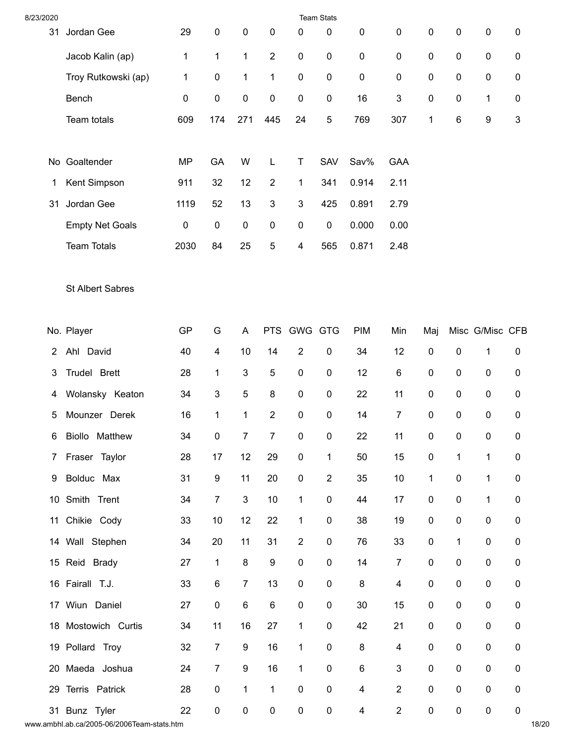| 8/23/2020      |                         |              |                           |                           |                           |                           | <b>Team Stats</b> |                         |                         |              |              |                 |                           |
|----------------|-------------------------|--------------|---------------------------|---------------------------|---------------------------|---------------------------|-------------------|-------------------------|-------------------------|--------------|--------------|-----------------|---------------------------|
| 31             | Jordan Gee              | 29           | $\pmb{0}$                 | $\pmb{0}$                 | $\pmb{0}$                 | $\mathbf{0}$              | 0                 | $\pmb{0}$               | $\pmb{0}$               | 0            | $\pmb{0}$    | $\pmb{0}$       | 0                         |
|                | Jacob Kalin (ap)        | $\mathbf{1}$ | $\mathbf{1}$              | $\mathbf{1}$              | $\overline{2}$            | $\pmb{0}$                 | $\pmb{0}$         | $\pmb{0}$               | $\pmb{0}$               | 0            | $\pmb{0}$    | $\mathbf 0$     | 0                         |
|                | Troy Rutkowski (ap)     | $\mathbf 1$  | $\pmb{0}$                 | $\mathbf{1}$              | 1                         | $\pmb{0}$                 | $\pmb{0}$         | $\pmb{0}$               | $\boldsymbol{0}$        | 0            | $\pmb{0}$    | $\pmb{0}$       | 0                         |
|                | Bench                   | $\pmb{0}$    | $\pmb{0}$                 | $\pmb{0}$                 | $\pmb{0}$                 | $\pmb{0}$                 | $\pmb{0}$         | 16                      | 3                       | 0            | $\pmb{0}$    | 1               | 0                         |
|                | Team totals             | 609          | 174                       | 271                       | 445                       | 24                        | $\mathbf 5$       | 769                     | 307                     | $\mathbf{1}$ | $\,6$        | 9               | $\ensuremath{\mathsf{3}}$ |
|                |                         |              |                           |                           |                           |                           |                   |                         |                         |              |              |                 |                           |
|                | No Goaltender           | <b>MP</b>    | GA                        | W                         | L                         | T                         | SAV               | Sav%                    | <b>GAA</b>              |              |              |                 |                           |
| 1              | Kent Simpson            | 911          | 32                        | 12                        | $\overline{2}$            | $\mathbf{1}$              | 341               | 0.914                   | 2.11                    |              |              |                 |                           |
| 31             | Jordan Gee              | 1119         | 52                        | 13                        | $\ensuremath{\mathsf{3}}$ | $\ensuremath{\mathsf{3}}$ | 425               | 0.891                   | 2.79                    |              |              |                 |                           |
|                | <b>Empty Net Goals</b>  | $\pmb{0}$    | $\pmb{0}$                 | $\pmb{0}$                 | $\pmb{0}$                 | $\pmb{0}$                 | $\pmb{0}$         | 0.000                   | 0.00                    |              |              |                 |                           |
|                | <b>Team Totals</b>      | 2030         | 84                        | 25                        | $\mathbf 5$               | $\overline{\mathbf{4}}$   | 565               | 0.871                   | 2.48                    |              |              |                 |                           |
|                |                         |              |                           |                           |                           |                           |                   |                         |                         |              |              |                 |                           |
|                | <b>St Albert Sabres</b> |              |                           |                           |                           |                           |                   |                         |                         |              |              |                 |                           |
|                |                         |              |                           |                           |                           |                           |                   |                         |                         |              |              |                 |                           |
|                | No. Player              | GP           | G                         | A                         |                           | PTS GWG GTG               |                   | <b>PIM</b>              | Min                     | Maj          |              | Misc G/Misc CFB |                           |
| $\overline{2}$ | Ahl David               | 40           | $\overline{\mathbf{4}}$   | 10                        | 14                        | $\overline{2}$            | $\pmb{0}$         | 34                      | 12                      | $\pmb{0}$    | $\pmb{0}$    | $\mathbf{1}$    | 0                         |
| 3              | Trudel Brett            | 28           | 1                         | $\ensuremath{\mathsf{3}}$ | $\mathbf 5$               | $\pmb{0}$                 | $\pmb{0}$         | 12                      | $\,6$                   | 0            | $\pmb{0}$    | 0               | 0                         |
| 4              | Wolansky Keaton         | 34           | $\ensuremath{\mathsf{3}}$ | $\mathbf 5$               | 8                         | $\pmb{0}$                 | $\pmb{0}$         | 22                      | 11                      | 0            | $\pmb{0}$    | $\mathbf 0$     | 0                         |
| 5              | Mounzer Derek           | 16           | 1                         | $\mathbf{1}$              | $\overline{2}$            | $\pmb{0}$                 | $\pmb{0}$         | 14                      | $\overline{7}$          | 0            | $\mathbf 0$  | $\pmb{0}$       | 0                         |
|                | 6 Biollo Matthew        | 34           | $\pmb{0}$                 | $\overline{7}$            | $\overline{7}$            | $\pmb{0}$                 | $\pmb{0}$         | 22                      | 11                      | $\pmb{0}$    | $\pmb{0}$    | $\pmb{0}$       | $\pmb{0}$                 |
| $\mathbf{7}$   | Fraser Taylor           | 28           | 17                        | 12                        | 29                        | $\pmb{0}$                 | $\mathbf{1}$      | 50                      | 15                      | $\pmb{0}$    | $\mathbf 1$  | $\mathbf 1$     | $\pmb{0}$                 |
| 9              | Bolduc Max              | 31           | 9                         | 11                        | 20                        | $\pmb{0}$                 | $\boldsymbol{2}$  | 35                      | 10                      | 1            | $\pmb{0}$    | $\mathbf{1}$    | $\pmb{0}$                 |
|                | 10 Smith Trent          | 34           | $\boldsymbol{7}$          | $\mathbf{3}$              | 10                        | $\mathbf{1}$              | $\pmb{0}$         | 44                      | 17                      | 0            | $\pmb{0}$    | $\mathbf{1}$    | 0                         |
|                | 11 Chikie Cody          | 33           | 10                        | 12                        | 22                        | $\mathbf{1}$              | $\pmb{0}$         | 38                      | 19                      | 0            | $\pmb{0}$    | 0               | $\pmb{0}$                 |
|                | 14 Wall Stephen         | 34           | 20                        | 11                        | 31                        | $\boldsymbol{2}$          | $\pmb{0}$         | 76                      | 33                      | 0            | $\mathbf{1}$ | $\pmb{0}$       | $\pmb{0}$                 |
|                | 15 Reid Brady           | 27           | $\mathbf 1$               | $\bf 8$                   | $\boldsymbol{9}$          | $\pmb{0}$                 | $\pmb{0}$         | 14                      | $\boldsymbol{7}$        | 0            | $\pmb{0}$    | 0               | $\pmb{0}$                 |
|                | 16 Fairall T.J.         | 33           | $\,6$                     | $\overline{7}$            | 13                        | $\pmb{0}$                 | $\pmb{0}$         | 8                       | $\overline{\mathbf{4}}$ | 0            | $\pmb{0}$    | $\pmb{0}$       | $\pmb{0}$                 |
|                | 17 Wiun Daniel          | 27           | $\pmb{0}$                 | $\,6\,$                   | $\,6\,$                   | $\pmb{0}$                 | $\pmb{0}$         | 30                      | 15                      | 0            | $\pmb{0}$    | 0               | $\pmb{0}$                 |
|                | 18 Mostowich Curtis     | 34           | 11                        | 16                        | 27                        | $\mathbf{1}$              | $\pmb{0}$         | 42                      | 21                      | 0            | $\pmb{0}$    | $\pmb{0}$       | $\pmb{0}$                 |
|                | 19 Pollard Troy         | 32           | $\overline{7}$            | 9                         | 16                        | $\mathbf{1}$              | $\pmb{0}$         | 8                       | $\overline{\mathbf{4}}$ | 0            | $\pmb{0}$    | 0               | $\pmb{0}$                 |
|                | 20 Maeda Joshua         | 24           | $\boldsymbol{7}$          | $\boldsymbol{9}$          | 16                        | $\mathbf{1}$              | $\pmb{0}$         | $\,6\,$                 | $\sqrt{3}$              | 0            | $\pmb{0}$    | $\pmb{0}$       | 0                         |
|                | 29 Terris Patrick       | 28           | $\pmb{0}$                 | $\mathbf{1}$              | $\mathbf{1}$              | $\pmb{0}$                 | $\pmb{0}$         | $\overline{\mathbf{4}}$ | $\boldsymbol{2}$        | 0            | $\pmb{0}$    | 0               | $\pmb{0}$                 |
|                | 31 Bunz Tyler           | 22           | $\pmb{0}$                 | $\pmb{0}$                 | $\pmb{0}$                 | $\pmb{0}$                 | $\pmb{0}$         | $\overline{4}$          | $\boldsymbol{2}$        | 0            | $\pmb{0}$    | 0               | $\pmb{0}$                 |

www.ambhl.ab.ca/2005-06/2006Team-stats.htm 18/20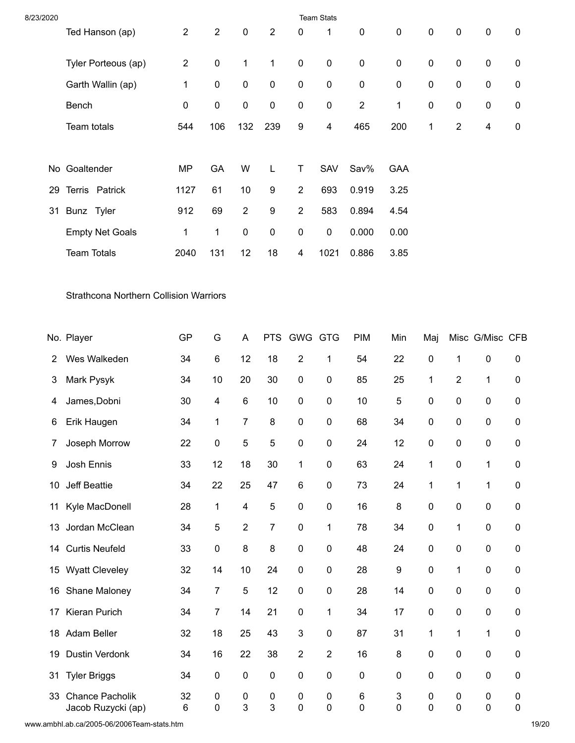| 8/23/2020 | <b>Team Stats</b>                             |                |                         |                         |                  |                        |                        |            |                  |        |                        |                 |                |
|-----------|-----------------------------------------------|----------------|-------------------------|-------------------------|------------------|------------------------|------------------------|------------|------------------|--------|------------------------|-----------------|----------------|
|           | Ted Hanson (ap)                               | $\overline{c}$ | $\boldsymbol{2}$        | $\pmb{0}$               | $\sqrt{2}$       | 0                      | 1                      | $\pmb{0}$  | $\pmb{0}$        | 0      | $\pmb{0}$              | $\pmb{0}$       | 0              |
|           | Tyler Porteous (ap)                           | $\sqrt{2}$     | $\pmb{0}$               | $\mathbf{1}$            | 1                | $\pmb{0}$              | $\pmb{0}$              | $\pmb{0}$  | $\pmb{0}$        | 0      | $\pmb{0}$              | $\pmb{0}$       | 0              |
|           | Garth Wallin (ap)                             | 1              | $\pmb{0}$               | $\pmb{0}$               | $\pmb{0}$        | $\pmb{0}$              | $\pmb{0}$              | $\pmb{0}$  | $\pmb{0}$        | 0      | $\pmb{0}$              | $\pmb{0}$       | 0              |
|           | Bench                                         | 0              | $\pmb{0}$               | $\pmb{0}$               | $\pmb{0}$        | $\pmb{0}$              | $\pmb{0}$              | $\sqrt{2}$ | 1                | 0      | $\pmb{0}$              | 0               | 0              |
|           | Team totals                                   | 544            | 106                     | 132                     | 239              | 9                      | 4                      | 465        | 200              | 1      | $\sqrt{2}$             | 4               | $\pmb{0}$      |
|           |                                               |                |                         |                         |                  |                        |                        |            |                  |        |                        |                 |                |
|           | No Goaltender                                 | <b>MP</b>      | GA                      | W                       | L                | T                      | SAV                    | Sav%       | <b>GAA</b>       |        |                        |                 |                |
| 29        | Terris Patrick                                | 1127           | 61                      | 10                      | 9                | $\overline{c}$         | 693                    | 0.919      | 3.25             |        |                        |                 |                |
| 31        | Bunz Tyler                                    | 912            | 69                      | $\overline{2}$          | $\boldsymbol{9}$ | $\sqrt{2}$             | 583                    | 0.894      | 4.54             |        |                        |                 |                |
|           | <b>Empty Net Goals</b>                        | 1              | $\mathbf{1}$            | $\pmb{0}$               | $\pmb{0}$        | $\pmb{0}$              | $\pmb{0}$              | 0.000      | 0.00             |        |                        |                 |                |
|           | <b>Team Totals</b>                            | 2040           | 131                     | 12                      | 18               | $\overline{4}$         | 1021                   | 0.886      | 3.85             |        |                        |                 |                |
|           | <b>Strathcona Northern Collision Warriors</b> |                |                         |                         |                  |                        |                        |            |                  |        |                        |                 |                |
|           | No. Player                                    | <b>GP</b>      | G                       | A                       |                  | PTS GWG GTG            |                        | <b>PIM</b> | Min              | Maj    |                        | Misc G/Misc CFB |                |
| 2         | Wes Walkeden                                  | 34             | $\,6$                   | 12                      | 18               | $\overline{2}$         | 1                      | 54         | 22               | 0      | $\mathbf{1}$           | 0               | 0              |
| 3         | Mark Pysyk                                    | 34             | 10                      | 20                      | 30               | $\pmb{0}$              | $\pmb{0}$              | 85         | 25               | 1      | $\sqrt{2}$             | $\mathbf{1}$    | 0              |
| 4         | James, Dobni                                  | 30             | $\overline{\mathbf{4}}$ | $\,6\,$                 | 10               | $\pmb{0}$              | $\pmb{0}$              | 10         | 5                | 0      | $\pmb{0}$              | $\pmb{0}$       | 0              |
| 6         | Erik Haugen                                   | 34             | 1                       | $\overline{7}$          | $\bf 8$          | $\pmb{0}$              | $\pmb{0}$              | 68         | 34               | 0      | $\pmb{0}$              | $\pmb{0}$       | $\pmb{0}$      |
| 7         | Joseph Morrow                                 | 22             | $\pmb{0}$               | 5                       | 5                | 0                      | $\pmb{0}$              | 24         | 12               | 0      | 0                      | 0               | 0              |
| 9         | Josh Ennis                                    | 33             | 12                      | 18                      | 30               | $\mathbf{1}$           | $\pmb{0}$              | 63         | 24               | 1      | $\pmb{0}$              | 1               | 0              |
| 10        | Jeff Beattie                                  | 34             | 22                      | 25                      | 47               | $\,6$                  | $\pmb{0}$              | 73         | 24               | 1      | $\mathbf{1}$           | 1               | 0              |
| 11        | Kyle MacDonell                                | 28             | 1                       | $\overline{\mathbf{4}}$ | $\mathbf 5$      | $\pmb{0}$              | $\pmb{0}$              | 16         | 8                | 0      | $\pmb{0}$              | $\pmb{0}$       | 0              |
| 13        | Jordan McClean                                | 34             | 5                       | $\overline{2}$          | $\overline{7}$   | $\pmb{0}$              | 1                      | 78         | 34               | 0      | $\mathbf{1}$           | $\pmb{0}$       | 0              |
|           | 14 Curtis Neufeld                             | 33             | $\pmb{0}$               | $\bf 8$                 | $\bf 8$          | $\pmb{0}$              | $\pmb{0}$              | 48         | 24               | 0      | $\pmb{0}$              | $\pmb{0}$       | 0              |
|           | 15 Wyatt Cleveley                             | 32             | 14                      | 10                      | 24               | $\pmb{0}$              | $\pmb{0}$              | 28         | $\boldsymbol{9}$ | 0      | $\mathbf{1}$           | $\pmb{0}$       | 0              |
| 16        | Shane Maloney                                 | 34             | $\overline{7}$          | $\mathbf 5$             | 12               | $\pmb{0}$              | $\pmb{0}$              | 28         | 14               | 0      | $\pmb{0}$              | 0               | $\pmb{0}$      |
| 17        | Kieran Purich                                 | 34             | $\boldsymbol{7}$        | 14                      | 21               | $\pmb{0}$              | 1                      | 34         | 17               | 0      | $\pmb{0}$              | $\pmb{0}$       | 0              |
|           | 18 Adam Beller                                | 32             | 18                      | 25                      | 43               | $\mathfrak{B}$         | $\pmb{0}$              | 87         | 31               | 1      | $\mathbf{1}$           | 1               | 0              |
| 19        | Dustin Verdonk                                | 34             | 16                      | 22                      | 38               | $\overline{2}$         | $\overline{2}$         | 16         | 8                | 0      | $\pmb{0}$              | $\pmb{0}$       | 0              |
| 31        | <b>Tyler Briggs</b>                           | 34             | $\pmb{0}$               | $\pmb{0}$               | $\pmb{0}$        | $\pmb{0}$              | $\pmb{0}$              | $\pmb{0}$  | 0                | 0      | $\pmb{0}$              | $\pmb{0}$       | 0              |
| 33        | Chance Pacholik<br>Jacob Ruzycki (ap)         | 32<br>6        | $\pmb{0}$<br>0          | $\pmb{0}$<br>3          | $\pmb{0}$<br>3   | $\pmb{0}$<br>$\pmb{0}$ | $\pmb{0}$<br>$\pmb{0}$ | 6<br>0     | 3<br>0           | 0<br>0 | $\pmb{0}$<br>$\pmb{0}$ | 0<br>$\pmb{0}$  | 0<br>$\pmb{0}$ |

www.ambhl.ab.ca/2005-06/2006Team-stats.htm 19/20